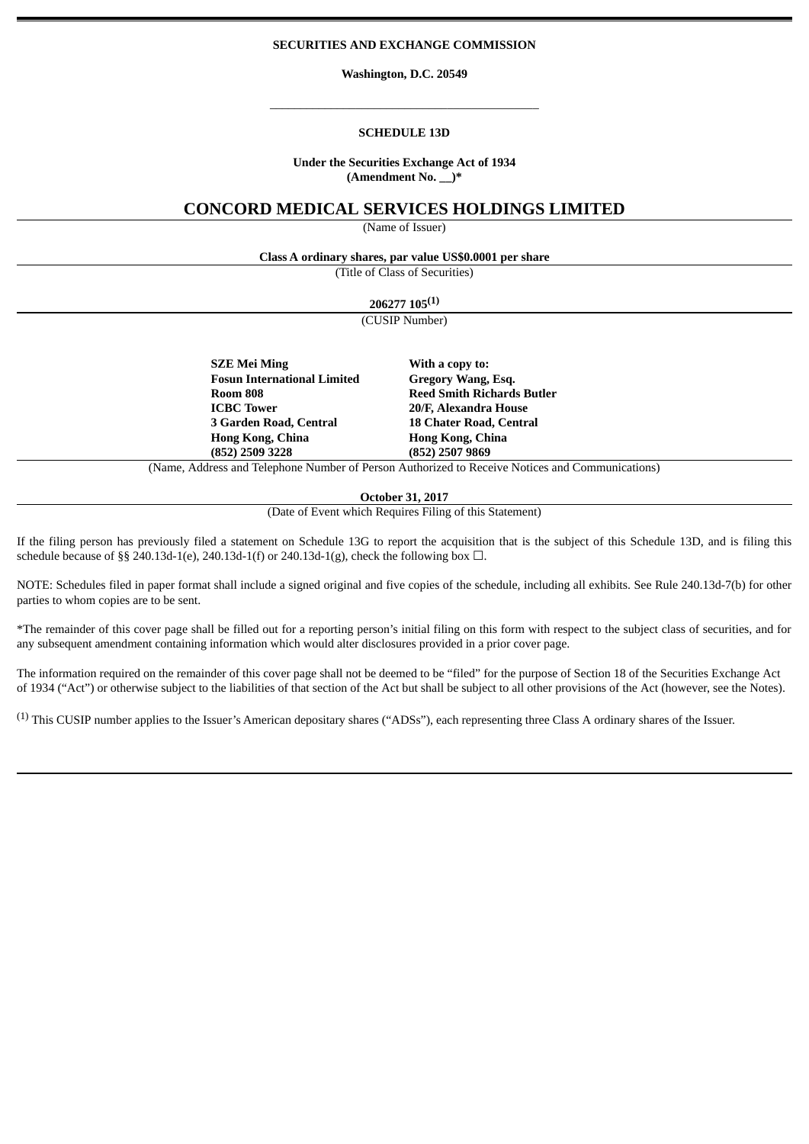## **SECURITIES AND EXCHANGE COMMISSION**

**Washington, D.C. 20549**

\_\_\_\_\_\_\_\_\_\_\_\_\_\_\_\_\_\_\_\_\_\_\_\_\_\_\_\_\_\_\_\_\_\_\_\_\_\_\_\_\_\_\_\_

#### **SCHEDULE 13D**

### **Under the Securities Exchange Act of 1934 (Amendment No. \_\_)\***

# **CONCORD MEDICAL SERVICES HOLDINGS LIMITED**

(Name of Issuer)

**Class A ordinary shares, par value US\$0.0001 per share**

(Title of Class of Securities)

**206277 105 (1)**

(CUSIP Number)

**SZE Mei Ming With a copy to: Fosun International Limited Gregory Wang, Esq. ICBC Tower 20/F, Alexandra House 3 Garden Road, Central 18 Chater Road, Central Hong Kong, China Hong Kong, China (852) 2509 3228 (852) 2507 9869**

**Room 808 Reed Smith Richards Butler**

(Name, Address and Telephone Number of Person Authorized to Receive Notices and Communications)

**October 31, 2017**

(Date of Event which Requires Filing of this Statement)

If the filing person has previously filed a statement on Schedule 13G to report the acquisition that is the subject of this Schedule 13D, and is filing this schedule because of §§ 240.13d-1(e), 240.13d-1(f) or 240.13d-1(g), check the following box  $\Box$ .

NOTE: Schedules filed in paper format shall include a signed original and five copies of the schedule, including all exhibits. See Rule 240.13d-7(b) for other parties to whom copies are to be sent.

\*The remainder of this cover page shall be filled out for a reporting person's initial filing on this form with respect to the subject class of securities, and for any subsequent amendment containing information which would alter disclosures provided in a prior cover page.

The information required on the remainder of this cover page shall not be deemed to be "filed" for the purpose of Section 18 of the Securities Exchange Act of 1934 ("Act") or otherwise subject to the liabilities of that section of the Act but shall be subject to all other provisions of the Act (however, see the Notes).

(1) This CUSIP number applies to the Issuer's American depositary shares ("ADSs"), each representing three Class A ordinary shares of the Issuer.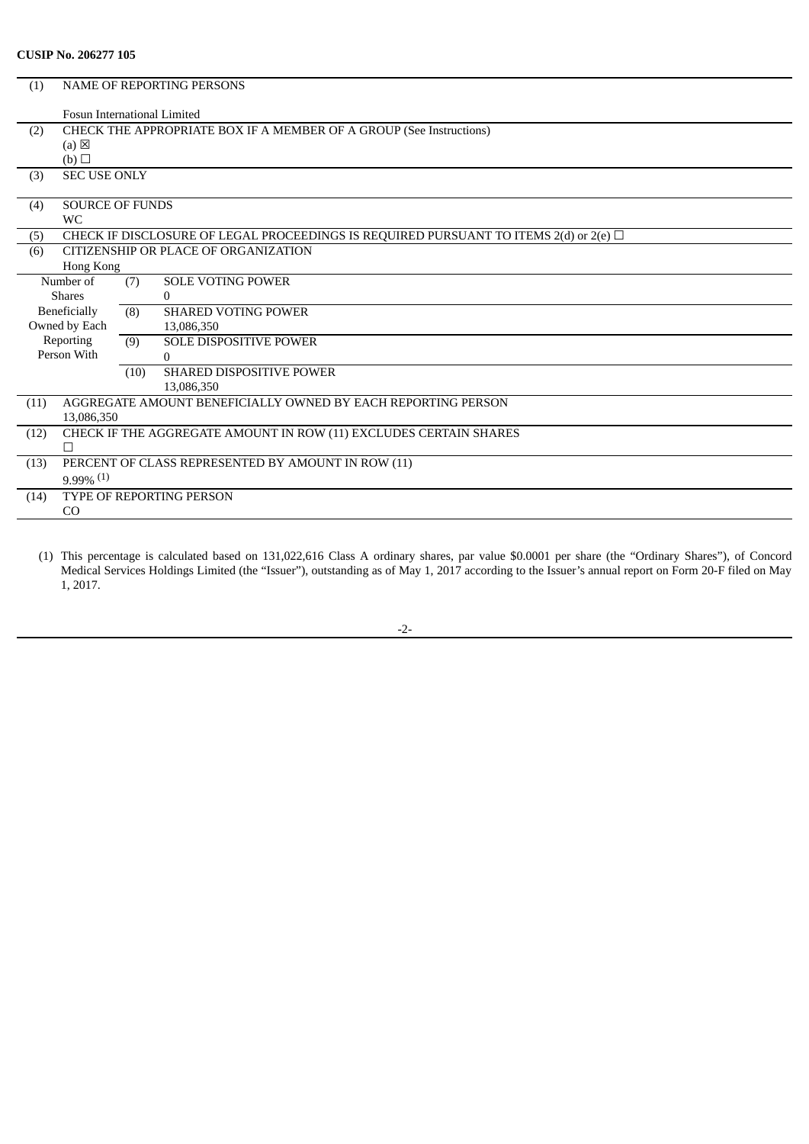# **CUSIP No. 206277 105**

| (1)  | <b>NAME OF REPORTING PERSONS</b>                                    |      |                                                                                                |  |
|------|---------------------------------------------------------------------|------|------------------------------------------------------------------------------------------------|--|
|      | <b>Fosun International Limited</b>                                  |      |                                                                                                |  |
| (2)  | CHECK THE APPROPRIATE BOX IF A MEMBER OF A GROUP (See Instructions) |      |                                                                                                |  |
|      | $(a) \boxtimes$                                                     |      |                                                                                                |  |
| (3)  | (b)                                                                 |      |                                                                                                |  |
|      | <b>SEC USE ONLY</b>                                                 |      |                                                                                                |  |
| (4)  | <b>SOURCE OF FUNDS</b>                                              |      |                                                                                                |  |
|      | <b>WC</b>                                                           |      |                                                                                                |  |
| (5)  |                                                                     |      | CHECK IF DISCLOSURE OF LEGAL PROCEEDINGS IS REQUIRED PURSUANT TO ITEMS $2(d)$ or $2(e)$ $\Box$ |  |
| (6)  |                                                                     |      | CITIZENSHIP OR PLACE OF ORGANIZATION                                                           |  |
|      | Hong Kong                                                           |      |                                                                                                |  |
|      | Number of                                                           | (7)  | <b>SOLE VOTING POWER</b>                                                                       |  |
|      | <b>Shares</b>                                                       |      | $\Omega$                                                                                       |  |
|      | Beneficially                                                        | (8)  | <b>SHARED VOTING POWER</b>                                                                     |  |
|      | Owned by Each                                                       |      | 13.086.350                                                                                     |  |
|      | Reporting                                                           | (9)  | <b>SOLE DISPOSITIVE POWER</b>                                                                  |  |
|      | Person With                                                         |      | 0                                                                                              |  |
|      |                                                                     | (10) | <b>SHARED DISPOSITIVE POWER</b>                                                                |  |
|      |                                                                     |      | 13.086.350                                                                                     |  |
| (11) | AGGREGATE AMOUNT BENEFICIALLY OWNED BY EACH REPORTING PERSON        |      |                                                                                                |  |
|      | 13,086,350                                                          |      |                                                                                                |  |
| (12) |                                                                     |      | CHECK IF THE AGGREGATE AMOUNT IN ROW (11) EXCLUDES CERTAIN SHARES                              |  |
|      | П                                                                   |      |                                                                                                |  |
| (13) | PERCENT OF CLASS REPRESENTED BY AMOUNT IN ROW (11)                  |      |                                                                                                |  |
|      | $9.99\%$ <sup>(1)</sup>                                             |      |                                                                                                |  |
| (14) | TYPE OF REPORTING PERSON                                            |      |                                                                                                |  |
|      | <sub>CO</sub>                                                       |      |                                                                                                |  |

(1) This percentage is calculated based on 131,022,616 Class A ordinary shares, par value \$0.0001 per share (the "Ordinary Shares"), of Concord Medical Services Holdings Limited (the "Issuer"), outstanding as of May 1, 2017 according to the Issuer's annual report on Form 20-F filed on May 1, 2017.

-2-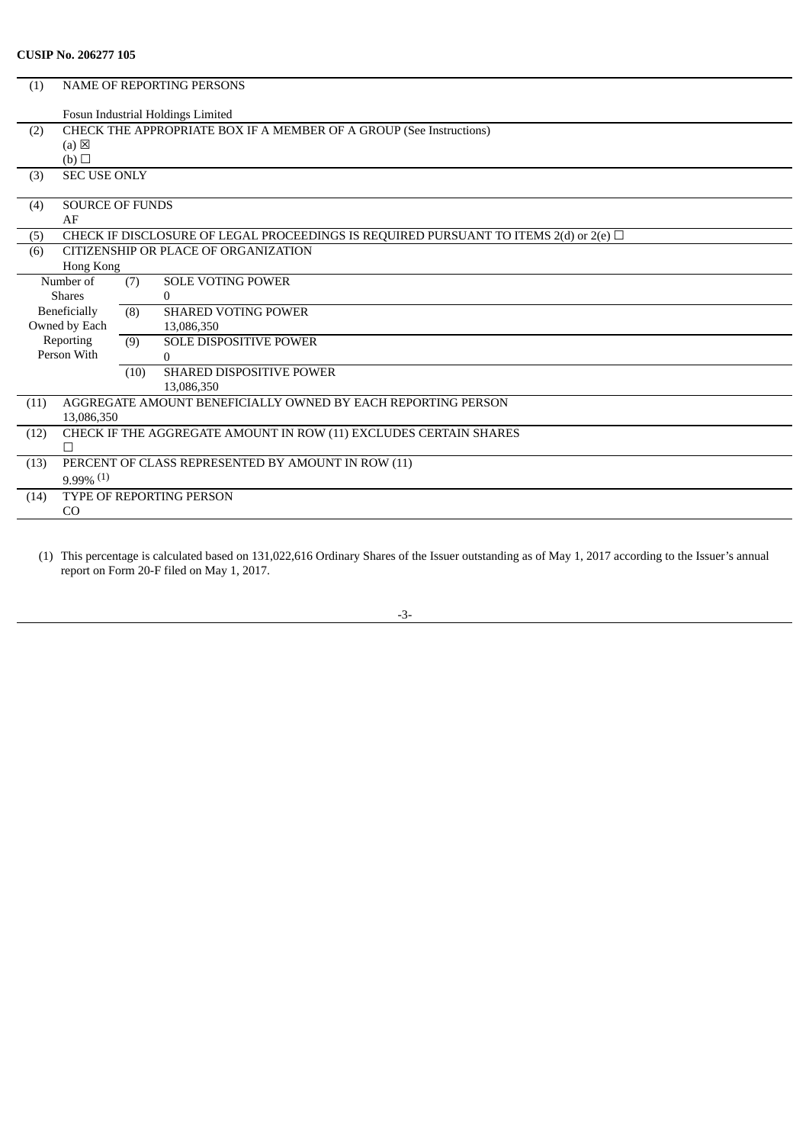| (1)  | <b>NAME OF REPORTING PERSONS</b>                                    |      |                                                                                            |
|------|---------------------------------------------------------------------|------|--------------------------------------------------------------------------------------------|
|      |                                                                     |      | Fosun Industrial Holdings Limited                                                          |
| (2)  | CHECK THE APPROPRIATE BOX IF A MEMBER OF A GROUP (See Instructions) |      |                                                                                            |
|      | $(a) \boxtimes$                                                     |      |                                                                                            |
|      | (b)                                                                 |      |                                                                                            |
| (3)  | <b>SEC USE ONLY</b>                                                 |      |                                                                                            |
| (4)  | <b>SOURCE OF FUNDS</b>                                              |      |                                                                                            |
|      | AF                                                                  |      |                                                                                            |
| (5)  |                                                                     |      | CHECK IF DISCLOSURE OF LEGAL PROCEEDINGS IS REQUIRED PURSUANT TO ITEMS 2(d) or 2(e) $\Box$ |
| (6)  |                                                                     |      | CITIZENSHIP OR PLACE OF ORGANIZATION                                                       |
|      | Hong Kong                                                           |      |                                                                                            |
|      | Number of                                                           | (7)  | <b>SOLE VOTING POWER</b>                                                                   |
|      | <b>Shares</b>                                                       |      | $\Omega$                                                                                   |
|      | Beneficially                                                        | (8)  | <b>SHARED VOTING POWER</b>                                                                 |
|      | Owned by Each                                                       |      | 13,086,350                                                                                 |
|      | Reporting                                                           | (9)  | <b>SOLE DISPOSITIVE POWER</b>                                                              |
|      | Person With                                                         |      | $\Omega$                                                                                   |
|      |                                                                     | (10) | <b>SHARED DISPOSITIVE POWER</b>                                                            |
|      |                                                                     |      | 13.086.350                                                                                 |
| (11) |                                                                     |      | AGGREGATE AMOUNT BENEFICIALLY OWNED BY EACH REPORTING PERSON                               |
|      | 13,086,350                                                          |      |                                                                                            |
| (12) |                                                                     |      | CHECK IF THE AGGREGATE AMOUNT IN ROW (11) EXCLUDES CERTAIN SHARES                          |
|      | $\Box$                                                              |      |                                                                                            |
| (13) |                                                                     |      | PERCENT OF CLASS REPRESENTED BY AMOUNT IN ROW (11)                                         |
|      | $9.99\%$ <sup>(1)</sup>                                             |      |                                                                                            |
| (14) |                                                                     |      | <b>TYPE OF REPORTING PERSON</b>                                                            |
|      | C <sub>O</sub>                                                      |      |                                                                                            |

(1) This percentage is calculated based on 131,022,616 Ordinary Shares of the Issuer outstanding as of May 1, 2017 according to the Issuer's annual report on Form 20-F filed on May 1, 2017.

-3-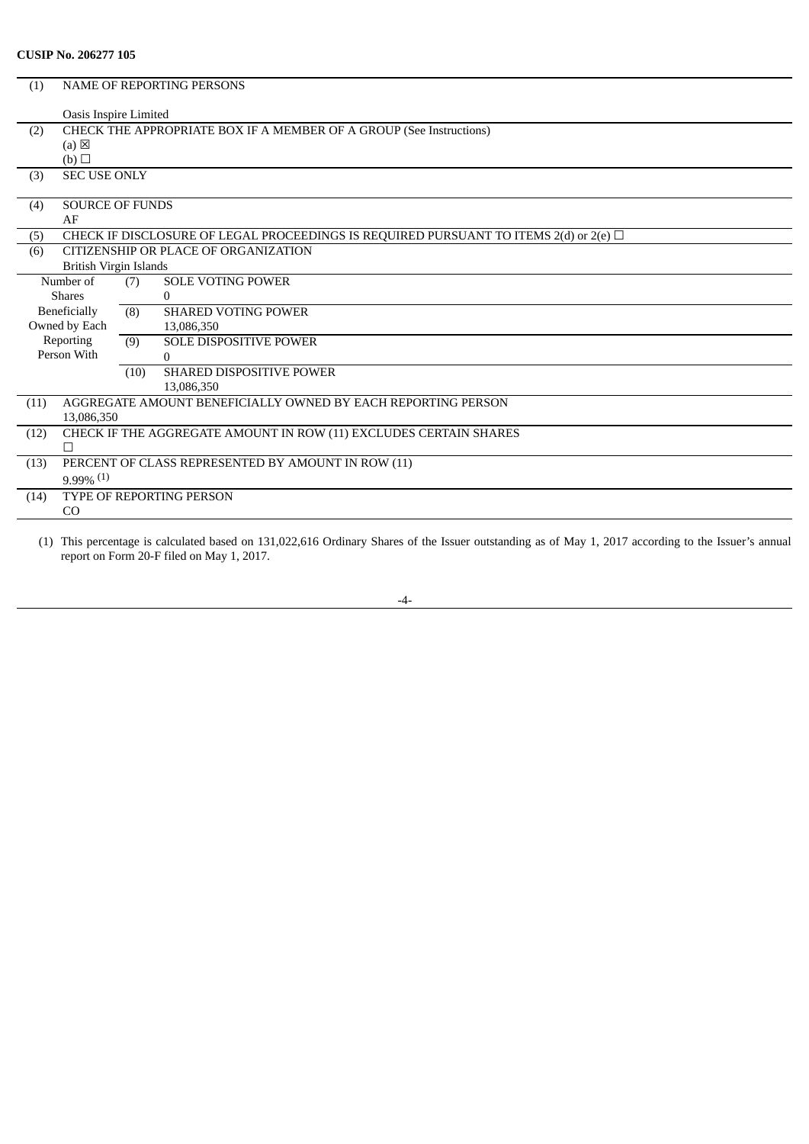| (1)  |                                                                     |      | <b>NAME OF REPORTING PERSONS</b>                                                               |
|------|---------------------------------------------------------------------|------|------------------------------------------------------------------------------------------------|
|      | Oasis Inspire Limited                                               |      |                                                                                                |
| (2)  | CHECK THE APPROPRIATE BOX IF A MEMBER OF A GROUP (See Instructions) |      |                                                                                                |
|      | $(a) \boxtimes$                                                     |      |                                                                                                |
|      | (b)                                                                 |      |                                                                                                |
| (3)  | <b>SEC USE ONLY</b>                                                 |      |                                                                                                |
|      | <b>SOURCE OF FUNDS</b>                                              |      |                                                                                                |
| (4)  | AF                                                                  |      |                                                                                                |
|      |                                                                     |      |                                                                                                |
| (5)  |                                                                     |      | CHECK IF DISCLOSURE OF LEGAL PROCEEDINGS IS REQUIRED PURSUANT TO ITEMS $2(d)$ or $2(e)$ $\Box$ |
| (6)  |                                                                     |      | CITIZENSHIP OR PLACE OF ORGANIZATION                                                           |
|      | British Virgin Islands                                              |      |                                                                                                |
|      | Number of                                                           | (7)  | <b>SOLE VOTING POWER</b>                                                                       |
|      | <b>Shares</b>                                                       |      | $\Omega$                                                                                       |
|      | Beneficially                                                        | (8)  | <b>SHARED VOTING POWER</b>                                                                     |
|      | Owned by Each                                                       |      | 13,086,350                                                                                     |
|      | Reporting                                                           | (9)  | <b>SOLE DISPOSITIVE POWER</b>                                                                  |
|      | Person With                                                         |      | $\Omega$                                                                                       |
|      |                                                                     | (10) | <b>SHARED DISPOSITIVE POWER</b>                                                                |
|      |                                                                     |      | 13.086.350                                                                                     |
| (11) |                                                                     |      | AGGREGATE AMOUNT BENEFICIALLY OWNED BY EACH REPORTING PERSON                                   |
|      | 13,086,350                                                          |      |                                                                                                |
| (12) |                                                                     |      | CHECK IF THE AGGREGATE AMOUNT IN ROW (11) EXCLUDES CERTAIN SHARES                              |
|      |                                                                     |      |                                                                                                |
| (13) |                                                                     |      | PERCENT OF CLASS REPRESENTED BY AMOUNT IN ROW (11)                                             |
|      | $9.99\%$ <sup>(1)</sup>                                             |      |                                                                                                |
| (14) |                                                                     |      | <b>TYPE OF REPORTING PERSON</b>                                                                |
|      | CO                                                                  |      |                                                                                                |
|      |                                                                     |      |                                                                                                |

(1) This percentage is calculated based on 131,022,616 Ordinary Shares of the Issuer outstanding as of May 1, 2017 according to the Issuer's annual report on Form 20-F filed on May 1, 2017.

-4-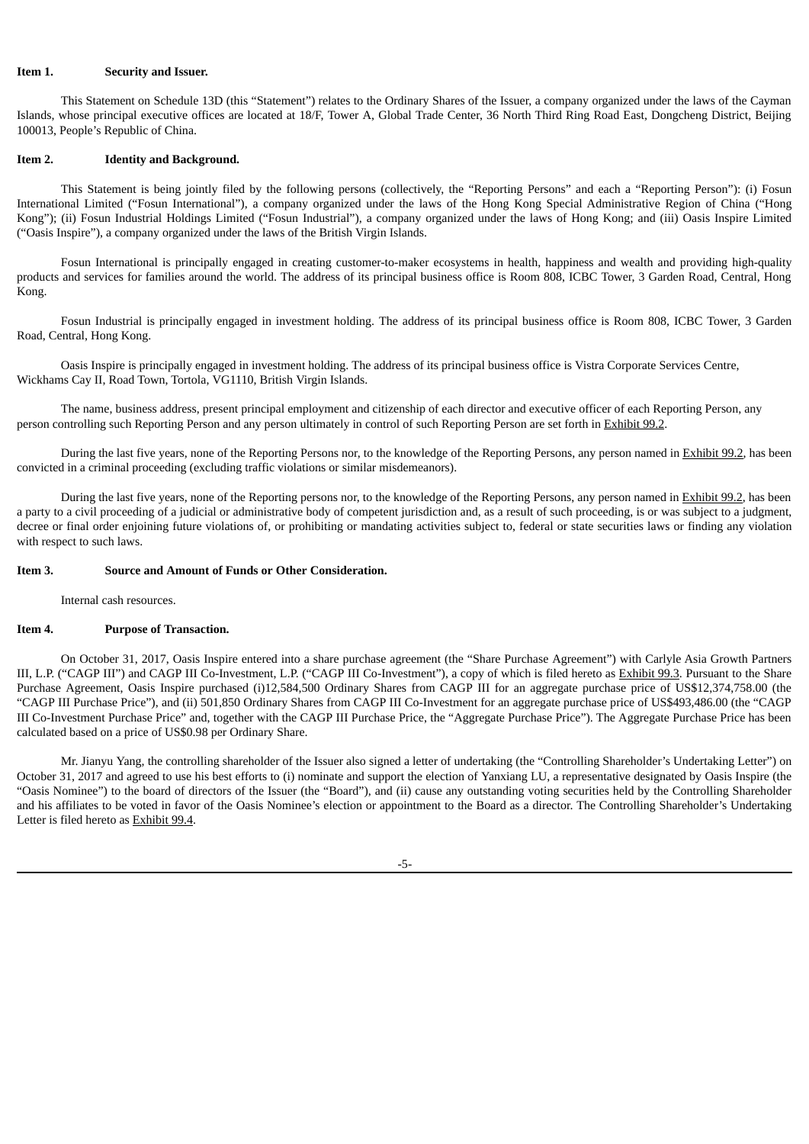#### **Item 1. Security and Issuer.**

This Statement on Schedule 13D (this "Statement") relates to the Ordinary Shares of the Issuer, a company organized under the laws of the Cayman Islands, whose principal executive offices are located at 18/F, Tower A, Global Trade Center, 36 North Third Ring Road East, Dongcheng District, Beijing 100013, People's Republic of China.

#### **Item 2. Identity and Background.**

This Statement is being jointly filed by the following persons (collectively, the "Reporting Persons" and each a "Reporting Person"): (i) Fosun International Limited ("Fosun International"), a company organized under the laws of the Hong Kong Special Administrative Region of China ("Hong Kong"); (ii) Fosun Industrial Holdings Limited ("Fosun Industrial"), a company organized under the laws of Hong Kong; and (iii) Oasis Inspire Limited ("Oasis Inspire"), a company organized under the laws of the British Virgin Islands.

Fosun International is principally engaged in creating customer-to-maker ecosystems in health, happiness and wealth and providing high-quality products and services for families around the world. The address of its principal business office is Room 808, ICBC Tower, 3 Garden Road, Central, Hong .<br>Kong.

Fosun Industrial is principally engaged in investment holding. The address of its principal business office is Room 808, ICBC Tower, 3 Garden Road, Central, Hong Kong.

Oasis Inspire is principally engaged in investment holding. The address of its principal business office is Vistra Corporate Services Centre, Wickhams Cay II, Road Town, Tortola, VG1110, British Virgin Islands.

The name, business address, present principal employment and citizenship of each director and executive officer of each Reporting Person, any person controlling such Reporting Person and any person ultimately in control of such Reporting Person are set forth in Exhibit 99.2.

During the last five years, none of the Reporting Persons nor, to the knowledge of the Reporting Persons, any person named in Exhibit 99.2, has been convicted in a criminal proceeding (excluding traffic violations or similar misdemeanors).

During the last five years, none of the Reporting persons nor, to the knowledge of the Reporting Persons, any person named in Exhibit 99.2, has been a party to a civil proceeding of a judicial or administrative body of competent jurisdiction and, as a result of such proceeding, is or was subject to a judgment, decree or final order enjoining future violations of, or prohibiting or mandating activities subject to, federal or state securities laws or finding any violation with respect to such laws.

# **Item 3. Source and Amount of Funds or Other Consideration.**

Internal cash resources.

#### **Item 4. Purpose of Transaction.**

On October 31, 2017, Oasis Inspire entered into a share purchase agreement (the "Share Purchase Agreement") with Carlyle Asia Growth Partners III, L.P. ("CAGP III") and CAGP III Co-Investment, L.P. ("CAGP III Co-Investment"), a copy of which is filed hereto as Exhibit 99.3. Pursuant to the Share Purchase Agreement, Oasis Inspire purchased (i)12,584,500 Ordinary Shares from CAGP III for an aggregate purchase price of US\$12,374,758.00 (the "CAGP III Purchase Price"), and (ii) 501,850 Ordinary Shares from CAGP III Co-Investment for an aggregate purchase price of US\$493,486.00 (the "CAGP III Co-Investment Purchase Price" and, together with the CAGP III Purchase Price, the "Aggregate Purchase Price"). The Aggregate Purchase Price has been calculated based on a price of US\$0.98 per Ordinary Share.

Mr. Jianyu Yang, the controlling shareholder of the Issuer also signed a letter of undertaking (the "Controlling Shareholder's Undertaking Letter") on October 31, 2017 and agreed to use his best efforts to (i) nominate and support the election of Yanxiang LU, a representative designated by Oasis Inspire (the "Oasis Nominee") to the board of directors of the Issuer (the "Board"), and (ii) cause any outstanding voting securities held by the Controlling Shareholder and his affiliates to be voted in favor of the Oasis Nominee's election or appointment to the Board as a director. The Controlling Shareholder's Undertaking Letter is filed hereto as Exhibit 99.4.

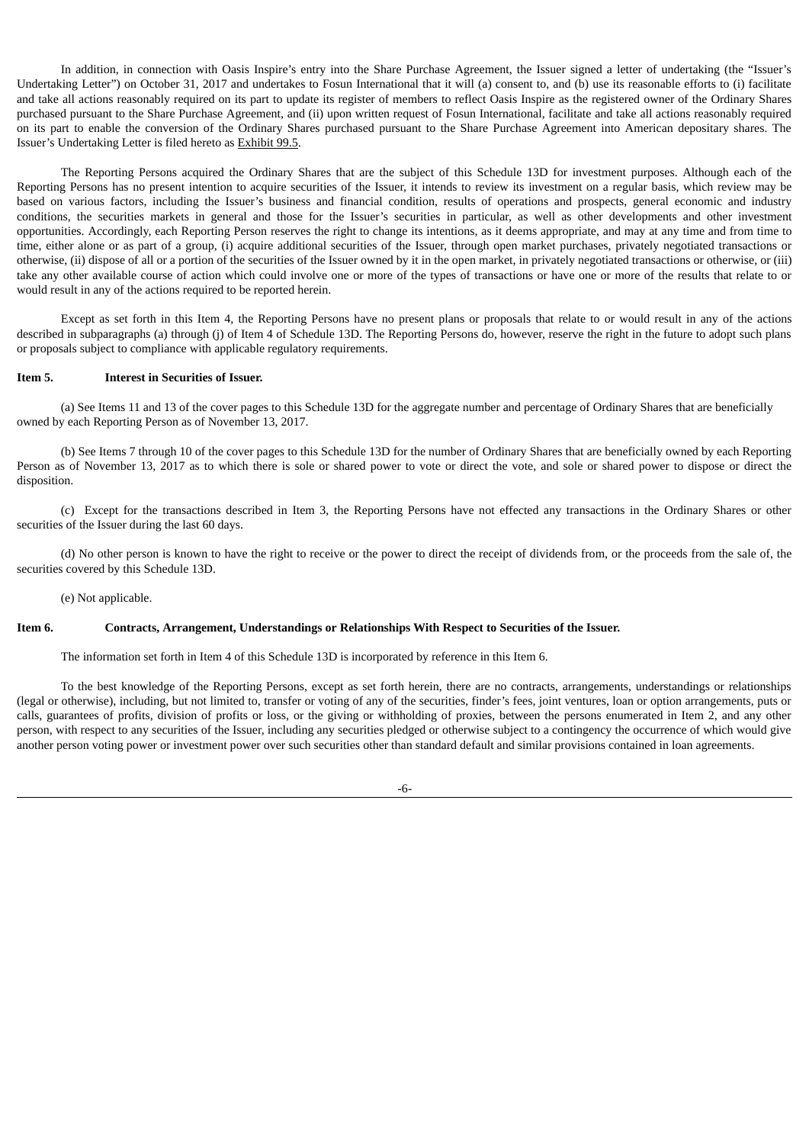In addition, in connection with Oasis Inspire's entry into the Share Purchase Agreement, the Issuer signed a letter of undertaking (the "Issuer's Undertaking Letter") on October 31, 2017 and undertakes to Fosun International that it will (a) consent to, and (b) use its reasonable efforts to (i) facilitate and take all actions reasonably required on its part to update its register of members to reflect Oasis Inspire as the registered owner of the Ordinary Shares purchased pursuant to the Share Purchase Agreement, and (ii) upon written request of Fosun International, facilitate and take all actions reasonably required on its part to enable the conversion of the Ordinary Shares purchased pursuant to the Share Purchase Agreement into American depositary shares. The Issuer's Undertaking Letter is filed hereto as Exhibit 99.5.

The Reporting Persons acquired the Ordinary Shares that are the subject of this Schedule 13D for investment purposes. Although each of the Reporting Persons has no present intention to acquire securities of the Issuer, it intends to review its investment on a regular basis, which review may be based on various factors, including the Issuer's business and financial condition, results of operations and prospects, general economic and industry conditions, the securities markets in general and those for the Issuer's securities in particular, as well as other developments and other investment opportunities. Accordingly, each Reporting Person reserves the right to change its intentions, as it deems appropriate, and may at any time and from time to time, either alone or as part of a group, (i) acquire additional securities of the Issuer, through open market purchases, privately negotiated transactions or otherwise, (ii) dispose of all or a portion of the securities of the Issuer owned by it in the open market, in privately negotiated transactions or otherwise, or (iii) take any other available course of action which could involve one or more of the types of transactions or have one or more of the results that relate to or would result in any of the actions required to be reported herein.

Except as set forth in this Item 4, the Reporting Persons have no present plans or proposals that relate to or would result in any of the actions described in subparagraphs (a) through (j) of Item 4 of Schedule 13D. The Reporting Persons do, however, reserve the right in the future to adopt such plans or proposals subject to compliance with applicable regulatory requirements.

#### **Item 5. Interest in Securities of Issuer.**

(a) See Items 11 and 13 of the cover pages to this Schedule 13D for the aggregate number and percentage of Ordinary Shares that are beneficially owned by each Reporting Person as of November 13, 2017.

(b) See Items 7 through 10 of the cover pages to this Schedule 13D for the number of Ordinary Shares that are beneficially owned by each Reporting Person as of November 13, 2017 as to which there is sole or shared power to vote or direct the vote, and sole or shared power to dispose or direct the disposition.

(c) Except for the transactions described in Item 3, the Reporting Persons have not effected any transactions in the Ordinary Shares or other securities of the Issuer during the last 60 days.

(d) No other person is known to have the right to receive or the power to direct the receipt of dividends from, or the proceeds from the sale of, the securities covered by this Schedule 13D.

(e) Not applicable.

#### **Item 6. Contracts, Arrangement, Understandings or Relationships With Respect to Securities of the Issuer.**

The information set forth in Item 4 of this Schedule 13D is incorporated by reference in this Item 6.

To the best knowledge of the Reporting Persons, except as set forth herein, there are no contracts, arrangements, understandings or relationships (legal or otherwise), including, but not limited to, transfer or voting of any of the securities, finder's fees, joint ventures, loan or option arrangements, puts or calls, guarantees of profits, division of profits or loss, or the giving or withholding of proxies, between the persons enumerated in Item 2, and any other person, with respect to any securities of the Issuer, including any securities pledged or otherwise subject to a contingency the occurrence of which would give another person voting power or investment power over such securities other than standard default and similar provisions contained in loan agreements.

-6-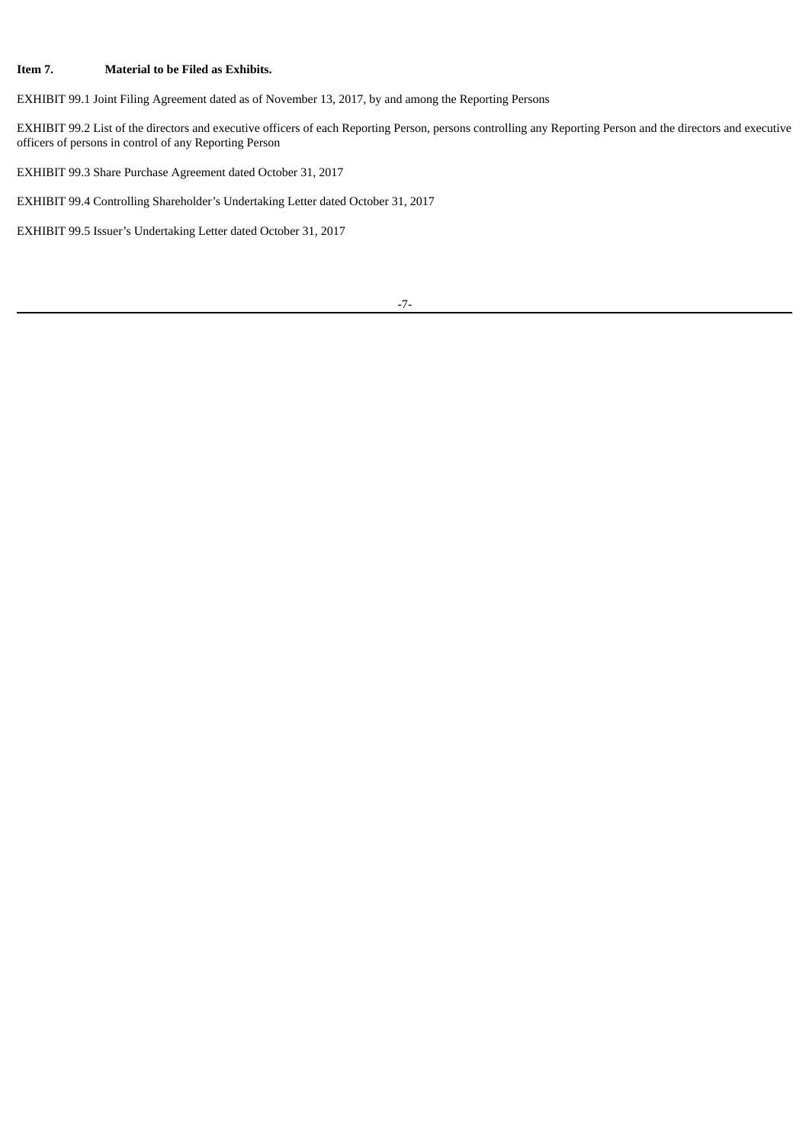# **Item 7. Material to be Filed as Exhibits.**

EXHIBIT 99.1 Joint Filing Agreement dated as of November 13, 2017, by and among the Reporting Persons

EXHIBIT 99.2 List of the directors and executive officers of each Reporting Person, persons controlling any Reporting Person and the directors and executive officers of persons in control of any Reporting Person

EXHIBIT 99.3 Share Purchase Agreement dated October 31, 2017

EXHIBIT 99.4 Controlling Shareholder's Undertaking Letter dated October 31, 2017

EXHIBIT 99.5 Issuer's Undertaking Letter dated October 31, 2017

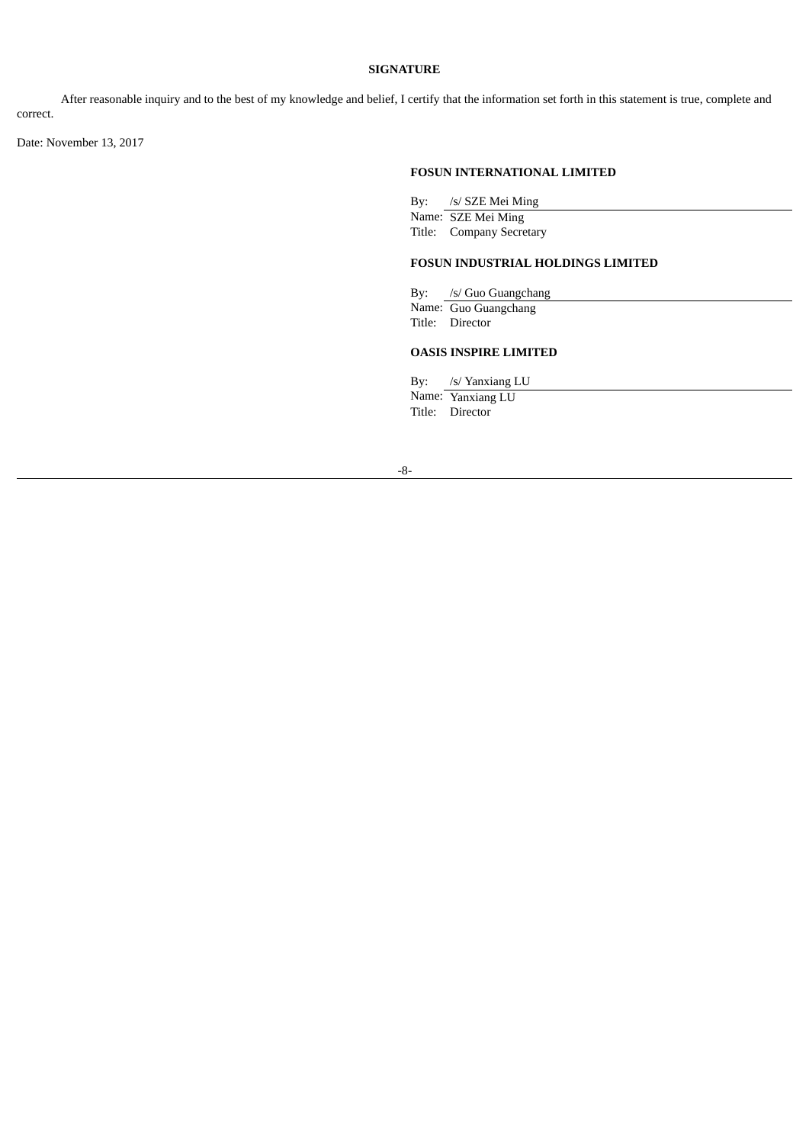### **SIGNATURE**

After reasonable inquiry and to the best of my knowledge and belief, I certify that the information set forth in this statement is true, complete and correct.

Date: November 13, 2017

# **FOSUN INTERNATIONAL LIMITED**

By: /s/ SZE Mei Ming

Name: SZE Mei Ming Title: Company Secretary

### **FOSUN INDUSTRIAL HOLDINGS LIMITED**

By: /s/ Guo Guangchang

Name: Guo Guangchang Title: Director

# **OASIS INSPIRE LIMITED**

By: /s/ Yanxiang LU

Name: Yanxiang LU Title: Director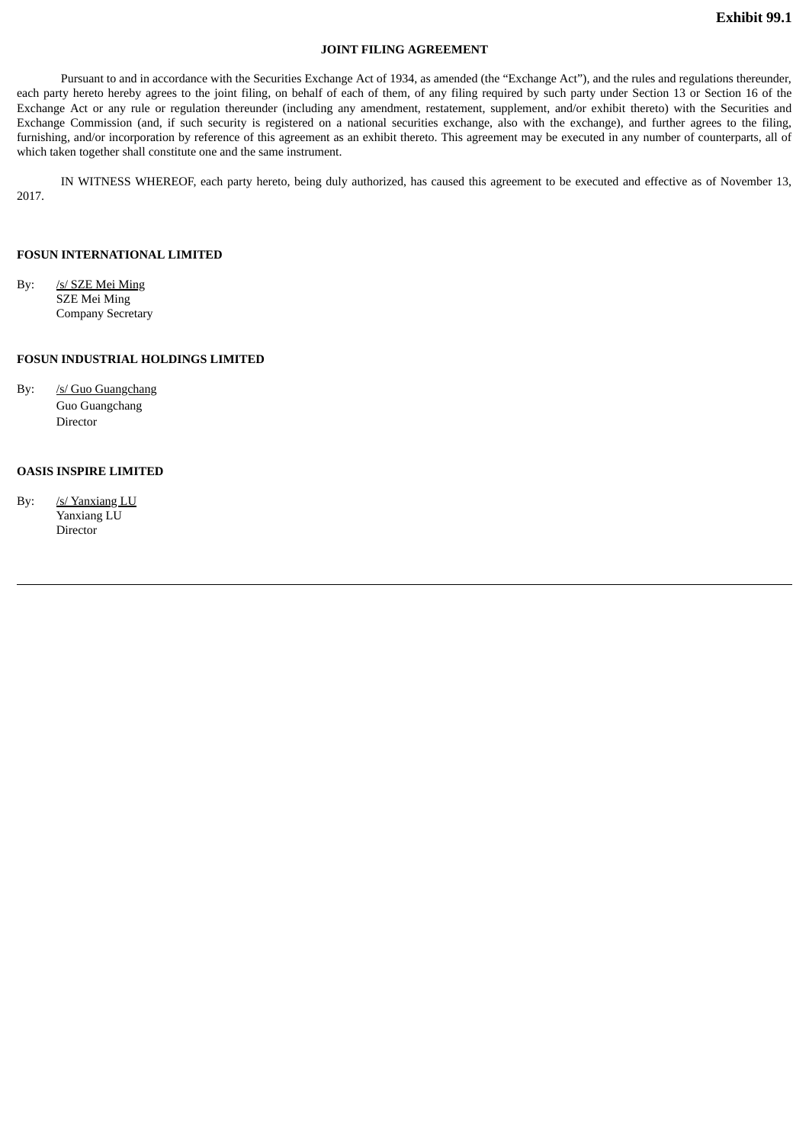#### **JOINT FILING AGREEMENT**

Pursuant to and in accordance with the Securities Exchange Act of 1934, as amended (the "Exchange Act"), and the rules and regulations thereunder, each party hereto hereby agrees to the joint filing, on behalf of each of them, of any filing required by such party under Section 13 or Section 16 of the Exchange Act or any rule or regulation thereunder (including any amendment, restatement, supplement, and/or exhibit thereto) with the Securities and Exchange Commission (and, if such security is registered on a national securities exchange, also with the exchange), and further agrees to the filing, furnishing, and/or incorporation by reference of this agreement as an exhibit thereto. This agreement may be executed in any number of counterparts, all of which taken together shall constitute one and the same instrument.

IN WITNESS WHEREOF, each party hereto, being duly authorized, has caused this agreement to be executed and effective as of November 13, 2017.

#### **FOSUN INTERNATIONAL LIMITED**

By: /s/ SZE Mei Ming SZE Mei Ming Company Secretary

### **FOSUN INDUSTRIAL HOLDINGS LIMITED**

By: /s/ Guo Guangchang Guo Guangchang Director

### **OASIS INSPIRE LIMITED**

By: /s/ Yanxiang LU Yanxiang LU **Director**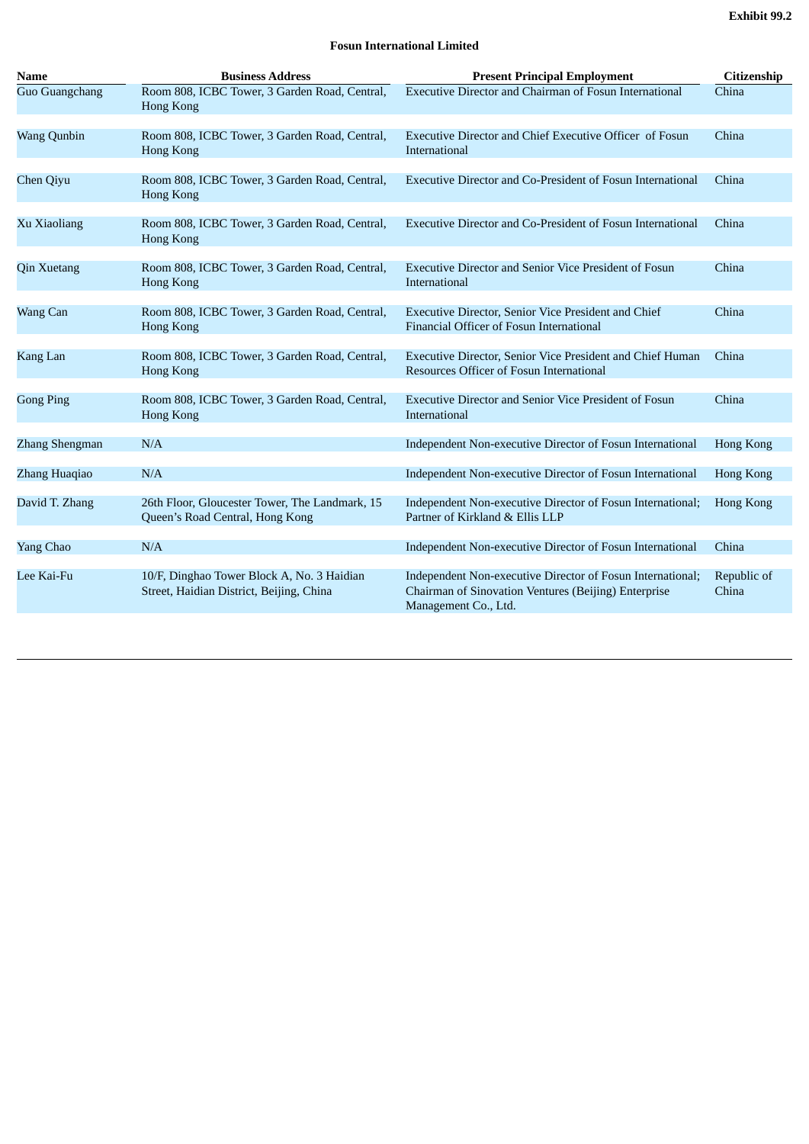# **Fosun International Limited**

| <b>Name</b>           | <b>Business Address</b>                                                                | <b>Present Principal Employment</b>                                                                                                        | <b>Citizenship</b>   |
|-----------------------|----------------------------------------------------------------------------------------|--------------------------------------------------------------------------------------------------------------------------------------------|----------------------|
| <b>Guo Guangchang</b> | Room 808, ICBC Tower, 3 Garden Road, Central,<br>Hong Kong                             | <b>Executive Director and Chairman of Fosun International</b>                                                                              | China                |
| <b>Wang Qunbin</b>    | Room 808, ICBC Tower, 3 Garden Road, Central,<br><b>Hong Kong</b>                      | <b>Executive Director and Chief Executive Officer of Fosun</b><br>International                                                            | China                |
| Chen Qiyu             | Room 808, ICBC Tower, 3 Garden Road, Central,<br>Hong Kong                             | <b>Executive Director and Co-President of Fosun International</b>                                                                          | China                |
| Xu Xiaoliang          | Room 808, ICBC Tower, 3 Garden Road, Central,<br>Hong Kong                             | <b>Executive Director and Co-President of Fosun International</b>                                                                          | China                |
| <b>Qin Xuetang</b>    | Room 808, ICBC Tower, 3 Garden Road, Central,<br><b>Hong Kong</b>                      | <b>Executive Director and Senior Vice President of Fosun</b><br>International                                                              | China                |
| Wang Can              | Room 808, ICBC Tower, 3 Garden Road, Central,<br><b>Hong Kong</b>                      | <b>Executive Director, Senior Vice President and Chief</b><br>Financial Officer of Fosun International                                     | China                |
| Kang Lan              | Room 808, ICBC Tower, 3 Garden Road, Central,<br><b>Hong Kong</b>                      | Executive Director, Senior Vice President and Chief Human<br>Resources Officer of Fosun International                                      | China                |
| <b>Gong Ping</b>      | Room 808, ICBC Tower, 3 Garden Road, Central,<br><b>Hong Kong</b>                      | <b>Executive Director and Senior Vice President of Fosun</b><br>International                                                              | China                |
| Zhang Shengman        | N/A                                                                                    | Independent Non-executive Director of Fosun International                                                                                  | <b>Hong Kong</b>     |
| Zhang Huaqiao         | N/A                                                                                    | Independent Non-executive Director of Fosun International                                                                                  | Hong Kong            |
| David T. Zhang        | 26th Floor, Gloucester Tower, The Landmark, 15<br>Queen's Road Central, Hong Kong      | Independent Non-executive Director of Fosun International;<br>Partner of Kirkland & Ellis LLP                                              | <b>Hong Kong</b>     |
| Yang Chao             | N/A                                                                                    | Independent Non-executive Director of Fosun International                                                                                  | China                |
| Lee Kai-Fu            | 10/F, Dinghao Tower Block A, No. 3 Haidian<br>Street, Haidian District, Beijing, China | Independent Non-executive Director of Fosun International;<br>Chairman of Sinovation Ventures (Beijing) Enterprise<br>Management Co., Ltd. | Republic of<br>China |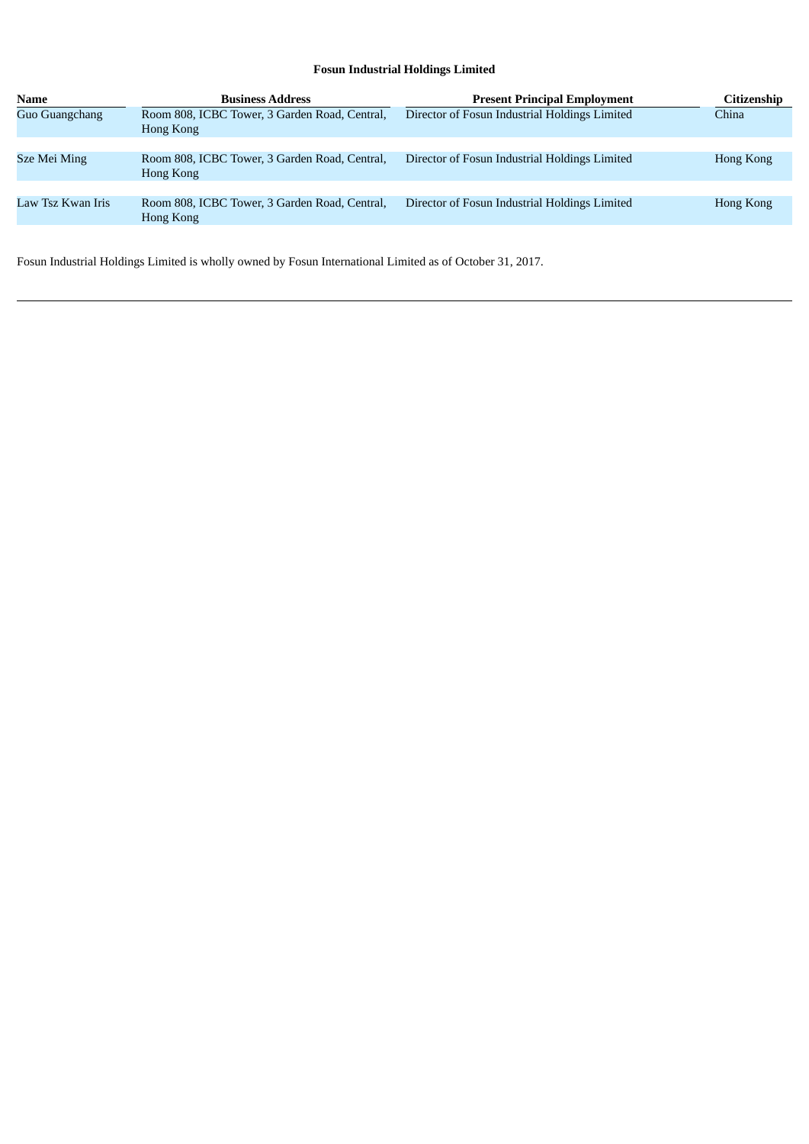# **Fosun Industrial Holdings Limited**

| <b>Name</b>       | <b>Business Address</b>                                    | <b>Present Principal Employment</b>           | <b>Citizenship</b> |
|-------------------|------------------------------------------------------------|-----------------------------------------------|--------------------|
| Guo Guangchang    | Room 808, ICBC Tower, 3 Garden Road, Central,<br>Hong Kong | Director of Fosun Industrial Holdings Limited | China              |
|                   |                                                            |                                               |                    |
| Sze Mei Ming      | Room 808, ICBC Tower, 3 Garden Road, Central,<br>Hong Kong | Director of Fosun Industrial Holdings Limited | Hong Kong          |
|                   |                                                            |                                               |                    |
| Law Tsz Kwan Iris | Room 808, ICBC Tower, 3 Garden Road, Central,<br>Hong Kong | Director of Fosun Industrial Holdings Limited | Hong Kong          |

Fosun Industrial Holdings Limited is wholly owned by Fosun International Limited as of October 31, 2017.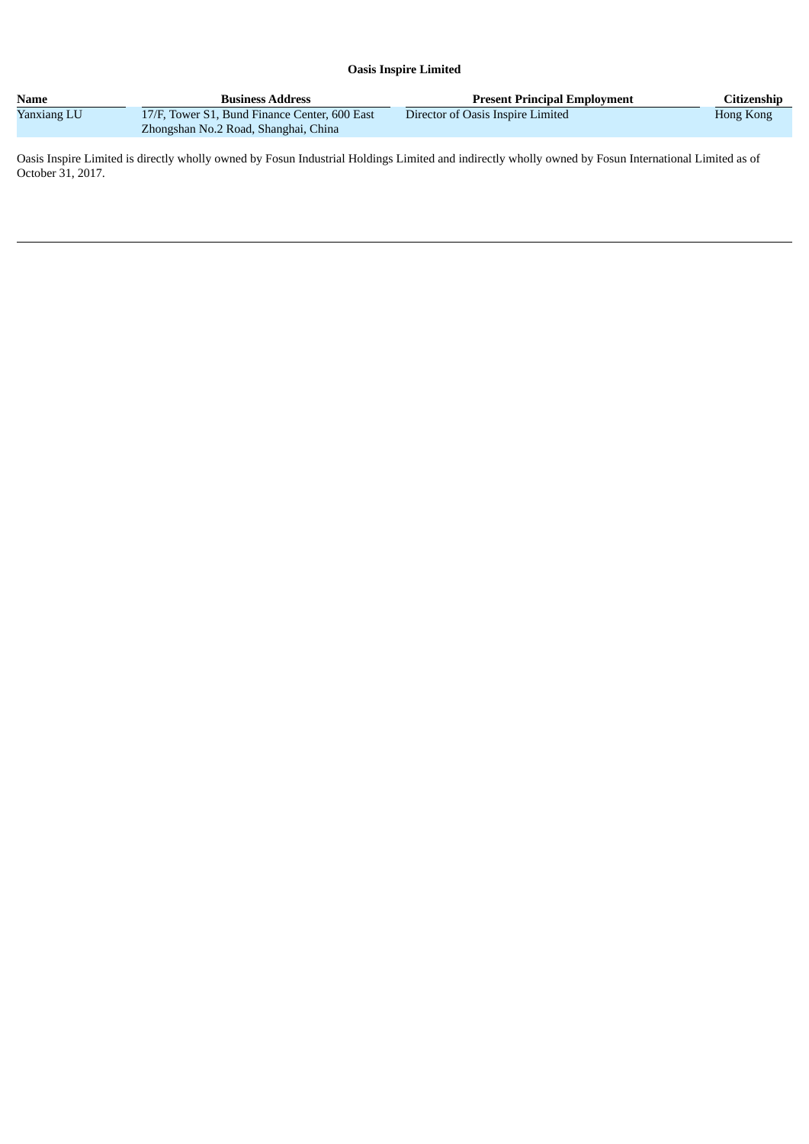# **Oasis Inspire Limited**

| Name        | <b>Business Address</b>                       | <b>Present Principal Employment</b> | Citizenship |
|-------------|-----------------------------------------------|-------------------------------------|-------------|
| Yanxiang LU | 17/F, Tower S1, Bund Finance Center, 600 East | Director of Oasis Inspire Limited   | Hong Kong   |
|             | Zhongshan No.2 Road, Shanghai, China          |                                     |             |

Oasis Inspire Limited is directly wholly owned by Fosun Industrial Holdings Limited and indirectly wholly owned by Fosun International Limited as of October 31, 2017.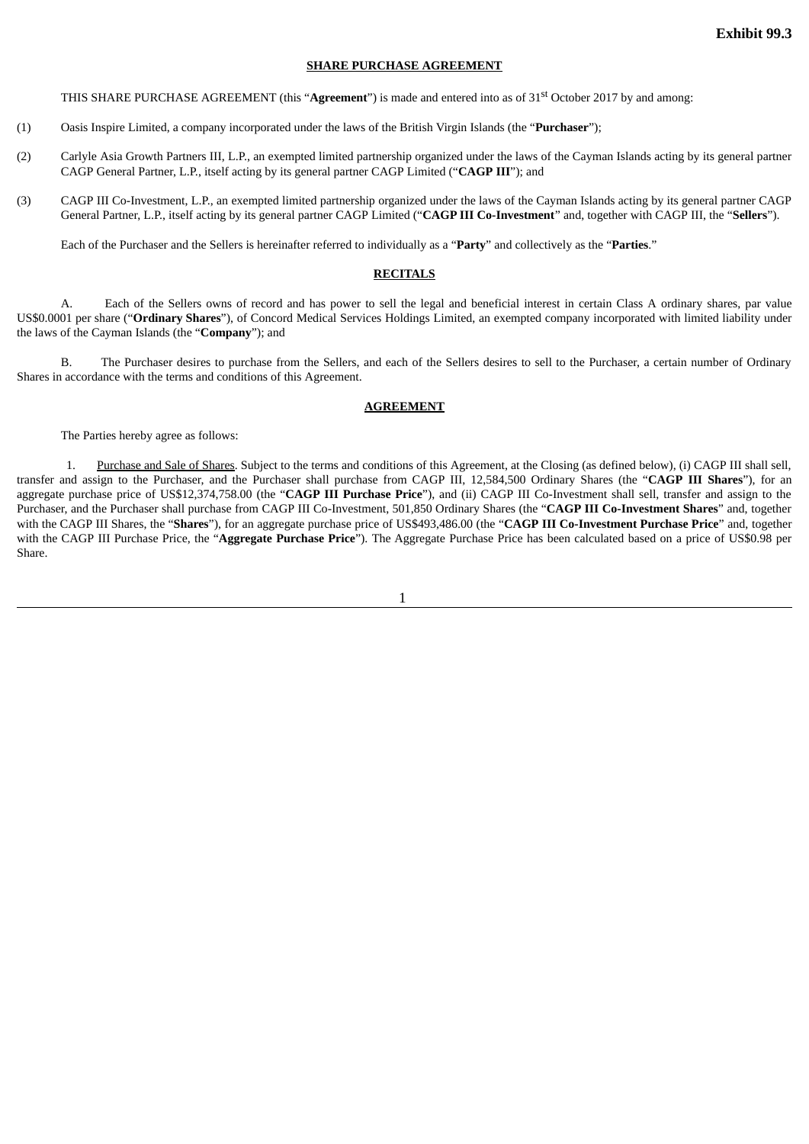# **SHARE PURCHASE AGREEMENT**

THIS SHARE PURCHASE AGREEMENT (this "**Agreement**") is made and entered into as of 31 st October 2017 by and among:

- (1) Oasis Inspire Limited, a company incorporated under the laws of the British Virgin Islands (the "**Purchaser**");
- (2) Carlyle Asia Growth Partners III, L.P., an exempted limited partnership organized under the laws of the Cayman Islands acting by its general partner CAGP General Partner, L.P., itself acting by its general partner CAGP Limited ("**CAGP III**"); and
- (3) CAGP III Co-Investment, L.P., an exempted limited partnership organized under the laws of the Cayman Islands acting by its general partner CAGP General Partner, L.P., itself acting by its general partner CAGP Limited ("**CAGP III Co-Investment**" and, together with CAGP III, the "**Sellers**").

Each of the Purchaser and the Sellers is hereinafter referred to individually as a "**Party**" and collectively as the "**Parties**."

# **RECITALS**

A. Each of the Sellers owns of record and has power to sell the legal and beneficial interest in certain Class A ordinary shares, par value US\$0.0001 per share ("**Ordinary Shares**"), of Concord Medical Services Holdings Limited, an exempted company incorporated with limited liability under the laws of the Cayman Islands (the "**Company**"); and

B. The Purchaser desires to purchase from the Sellers, and each of the Sellers desires to sell to the Purchaser, a certain number of Ordinary Shares in accordance with the terms and conditions of this Agreement.

#### **AGREEMENT**

The Parties hereby agree as follows:

1. Purchase and Sale of Shares. Subject to the terms and conditions of this Agreement, at the Closing (as defined below), (i) CAGP III shall sell, transfer and assign to the Purchaser, and the Purchaser shall purchase from CAGP III, 12,584,500 Ordinary Shares (the "**CAGP III Shares**"), for an aggregate purchase price of US\$12,374,758.00 (the "**CAGP III Purchase Price**"), and (ii) CAGP III Co-Investment shall sell, transfer and assign to the Purchaser, and the Purchaser shall purchase from CAGP III Co-Investment, 501,850 Ordinary Shares (the "**CAGP III Co-Investment Shares**" and, together with the CAGP III Shares, the "**Shares**"), for an aggregate purchase price of US\$493,486.00 (the "**CAGP III Co-Investment Purchase Price**" and, together with the CAGP III Purchase Price, the "**Aggregate Purchase Price**"). The Aggregate Purchase Price has been calculated based on a price of US\$0.98 per Share.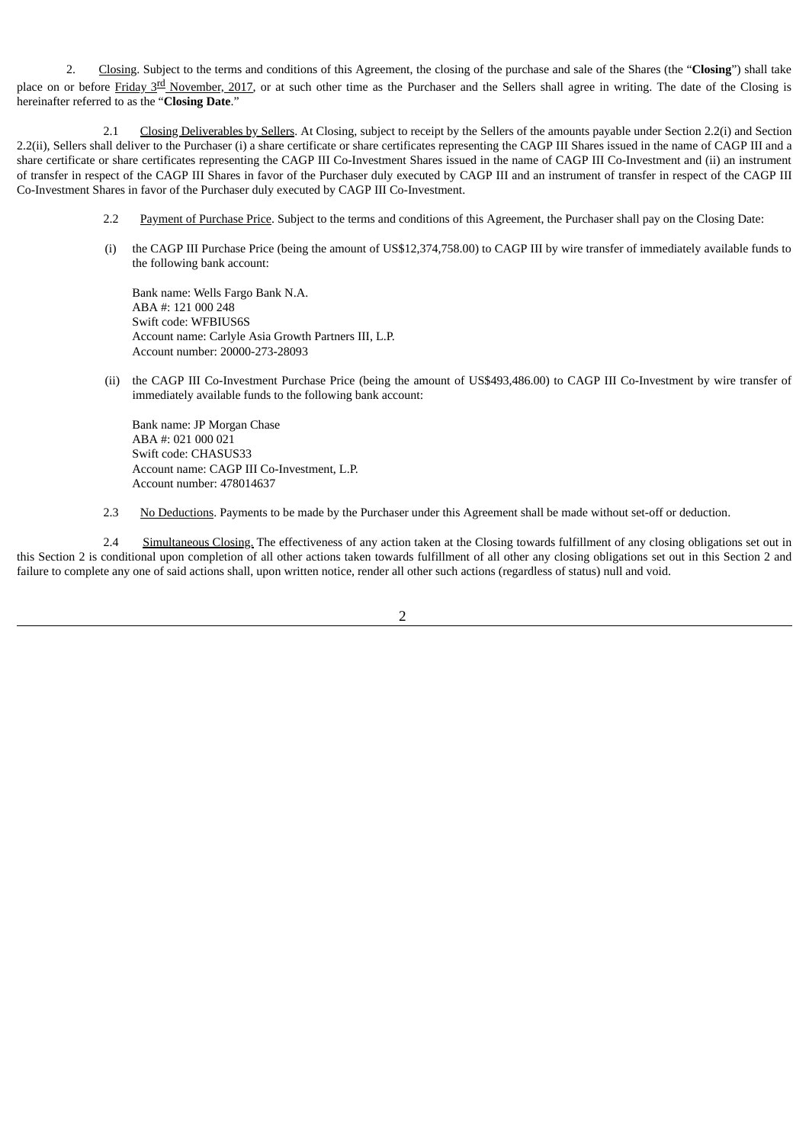2. Closing. Subject to the terms and conditions of this Agreement, the closing of the purchase and sale of the Shares (the "**Closing**") shall take place on or before <u>Friday 3<sup>rd</sup> November, 2017</u>, or at such other time as the Purchaser and the Sellers shall agree in writing. The date of the Closing is hereinafter referred to as the "**Closing Date**."

2.1 Closing Deliverables by Sellers. At Closing, subject to receipt by the Sellers of the amounts payable under Section 2.2(i) and Section 2.2(ii), Sellers shall deliver to the Purchaser (i) a share certificate or share certificates representing the CAGP III Shares issued in the name of CAGP III and a share certificate or share certificates representing the CAGP III Co-Investment Shares issued in the name of CAGP III Co-Investment and (ii) an instrument of transfer in respect of the CAGP III Shares in favor of the Purchaser duly executed by CAGP III and an instrument of transfer in respect of the CAGP III Co-Investment Shares in favor of the Purchaser duly executed by CAGP III Co-Investment.

- 2.2 Payment of Purchase Price. Subject to the terms and conditions of this Agreement, the Purchaser shall pay on the Closing Date:
- (i) the CAGP III Purchase Price (being the amount of US\$12,374,758.00) to CAGP III by wire transfer of immediately available funds to the following bank account:

Bank name: Wells Fargo Bank N.A. ABA #: 121 000 248 Swift code: WFBIUS6S Account name: Carlyle Asia Growth Partners III, L.P. Account number: 20000-273-28093

(ii) the CAGP III Co-Investment Purchase Price (being the amount of US\$493,486.00) to CAGP III Co-Investment by wire transfer of immediately available funds to the following bank account:

Bank name: JP Morgan Chase ABA #: 021 000 021 Swift code: CHASUS33 Account name: CAGP III Co-Investment, L.P. Account number: 478014637

2.3 No Deductions. Payments to be made by the Purchaser under this Agreement shall be made without set-off or deduction.

2.4 Simultaneous Closing. The effectiveness of any action taken at the Closing towards fulfillment of any closing obligations set out in this Section 2 is conditional upon completion of all other actions taken towards fulfillment of all other any closing obligations set out in this Section 2 and failure to complete any one of said actions shall, upon written notice, render all other such actions (regardless of status) null and void.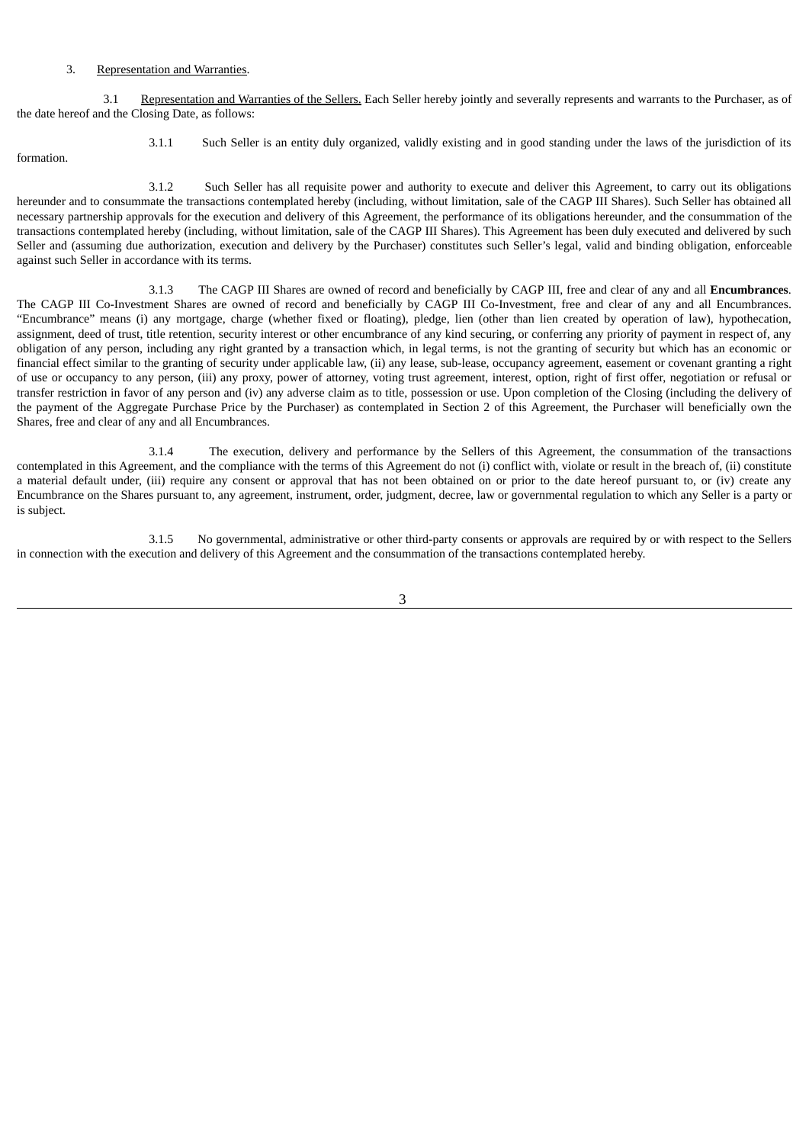#### 3. Representation and Warranties.

3.1 Representation and Warranties of the Sellers. Each Seller hereby jointly and severally represents and warrants to the Purchaser, as of the date hereof and the Closing Date, as follows:

formation.

3.1.1 Such Seller is an entity duly organized, validly existing and in good standing under the laws of the jurisdiction of its

3.1.2 Such Seller has all requisite power and authority to execute and deliver this Agreement, to carry out its obligations hereunder and to consummate the transactions contemplated hereby (including, without limitation, sale of the CAGP III Shares). Such Seller has obtained all necessary partnership approvals for the execution and delivery of this Agreement, the performance of its obligations hereunder, and the consummation of the transactions contemplated hereby (including, without limitation, sale of the CAGP III Shares). This Agreement has been duly executed and delivered by such Seller and (assuming due authorization, execution and delivery by the Purchaser) constitutes such Seller's legal, valid and binding obligation, enforceable against such Seller in accordance with its terms.

3.1.3 The CAGP III Shares are owned of record and beneficially by CAGP III, free and clear of any and all **Encumbrances**. The CAGP III Co-Investment Shares are owned of record and beneficially by CAGP III Co-Investment, free and clear of any and all Encumbrances. "Encumbrance" means (i) any mortgage, charge (whether fixed or floating), pledge, lien (other than lien created by operation of law), hypothecation, assignment, deed of trust, title retention, security interest or other encumbrance of any kind securing, or conferring any priority of payment in respect of, any obligation of any person, including any right granted by a transaction which, in legal terms, is not the granting of security but which has an economic or financial effect similar to the granting of security under applicable law, (ii) any lease, sub-lease, occupancy agreement, easement or covenant granting a right of use or occupancy to any person, (iii) any proxy, power of attorney, voting trust agreement, interest, option, right of first offer, negotiation or refusal or transfer restriction in favor of any person and (iv) any adverse claim as to title, possession or use. Upon completion of the Closing (including the delivery of the payment of the Aggregate Purchase Price by the Purchaser) as contemplated in Section 2 of this Agreement, the Purchaser will beneficially own the Shares, free and clear of any and all Encumbrances.

3.1.4 The execution, delivery and performance by the Sellers of this Agreement, the consummation of the transactions contemplated in this Agreement, and the compliance with the terms of this Agreement do not (i) conflict with, violate or result in the breach of, (ii) constitute a material default under, (iii) require any consent or approval that has not been obtained on or prior to the date hereof pursuant to, or (iv) create any Encumbrance on the Shares pursuant to, any agreement, instrument, order, judgment, decree, law or governmental regulation to which any Seller is a party or is subject.

3.1.5 No governmental, administrative or other third-party consents or approvals are required by or with respect to the Sellers in connection with the execution and delivery of this Agreement and the consummation of the transactions contemplated hereby.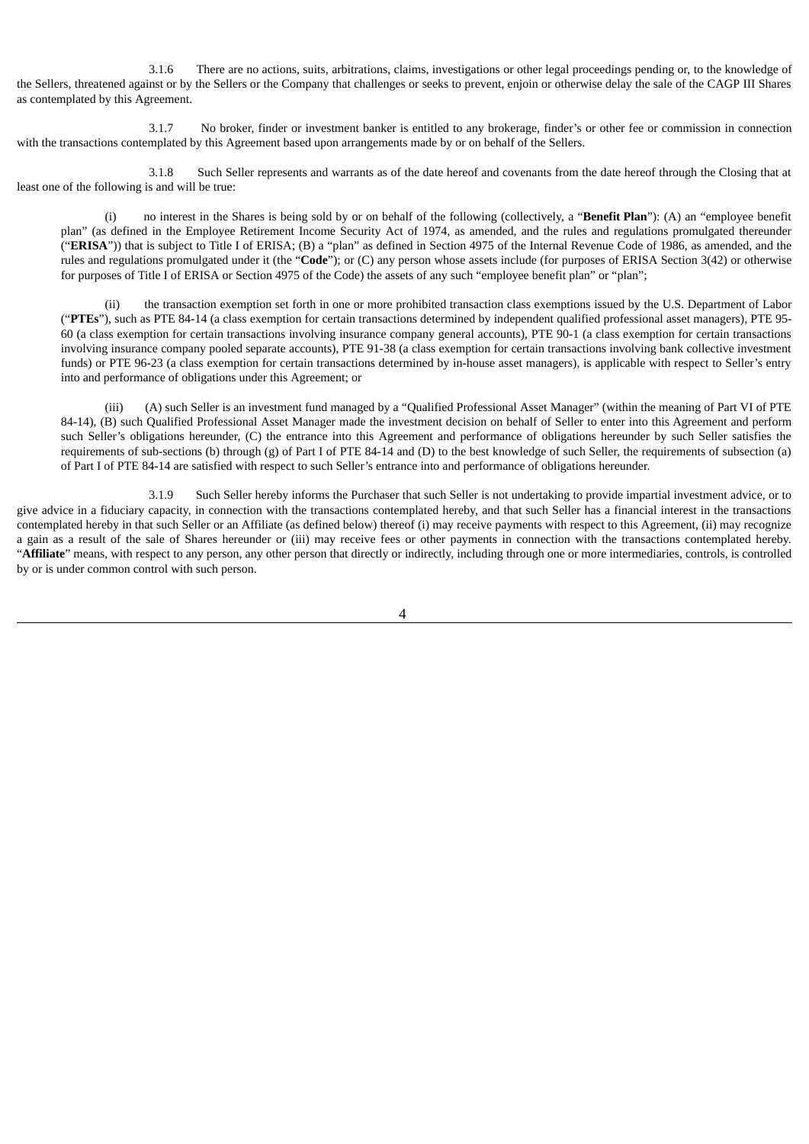3.1.6 There are no actions, suits, arbitrations, claims, investigations or other legal proceedings pending or, to the knowledge of the Sellers, threatened against or by the Sellers or the Company that challenges or seeks to prevent, enjoin or otherwise delay the sale of the CAGP III Shares as contemplated by this Agreement.

3.1.7 No broker, finder or investment banker is entitled to any brokerage, finder's or other fee or commission in connection with the transactions contemplated by this Agreement based upon arrangements made by or on behalf of the Sellers.

3.1.8 Such Seller represents and warrants as of the date hereof and covenants from the date hereof through the Closing that at least one of the following is and will be true:

(i) no interest in the Shares is being sold by or on behalf of the following (collectively, a "**Benefit Plan**"): (A) an "employee benefit plan" (as defined in the Employee Retirement Income Security Act of 1974, as amended, and the rules and regulations promulgated thereunder ("**ERISA**")) that is subject to Title I of ERISA; (B) a "plan" as defined in Section 4975 of the Internal Revenue Code of 1986, as amended, and the rules and regulations promulgated under it (the "**Code**"); or (C) any person whose assets include (for purposes of ERISA Section 3(42) or otherwise for purposes of Title I of ERISA or Section 4975 of the Code) the assets of any such "employee benefit plan" or "plan";

(ii) the transaction exemption set forth in one or more prohibited transaction class exemptions issued by the U.S. Department of Labor ("**PTEs**"), such as PTE 84-14 (a class exemption for certain transactions determined by independent qualified professional asset managers), PTE 95- 60 (a class exemption for certain transactions involving insurance company general accounts), PTE 90-1 (a class exemption for certain transactions involving insurance company pooled separate accounts), PTE 91-38 (a class exemption for certain transactions involving bank collective investment funds) or PTE 96-23 (a class exemption for certain transactions determined by in-house asset managers), is applicable with respect to Seller's entry into and performance of obligations under this Agreement; or

(iii) (A) such Seller is an investment fund managed by a "Qualified Professional Asset Manager" (within the meaning of Part VI of PTE 84-14), (B) such Qualified Professional Asset Manager made the investment decision on behalf of Seller to enter into this Agreement and perform such Seller's obligations hereunder, (C) the entrance into this Agreement and performance of obligations hereunder by such Seller satisfies the requirements of sub-sections (b) through (g) of Part I of PTE 84-14 and (D) to the best knowledge of such Seller, the requirements of subsection (a) of Part I of PTE 84-14 are satisfied with respect to such Seller's entrance into and performance of obligations hereunder.

3.1.9 Such Seller hereby informs the Purchaser that such Seller is not undertaking to provide impartial investment advice, or to give advice in a fiduciary capacity, in connection with the transactions contemplated hereby, and that such Seller has a financial interest in the transactions contemplated hereby in that such Seller or an Affiliate (as defined below) thereof (i) may receive payments with respect to this Agreement, (ii) may recognize a gain as a result of the sale of Shares hereunder or (iii) may receive fees or other payments in connection with the transactions contemplated hereby. "**Affiliate**" means, with respect to any person, any other person that directly or indirectly, including through one or more intermediaries, controls, is controlled by or is under common control with such person.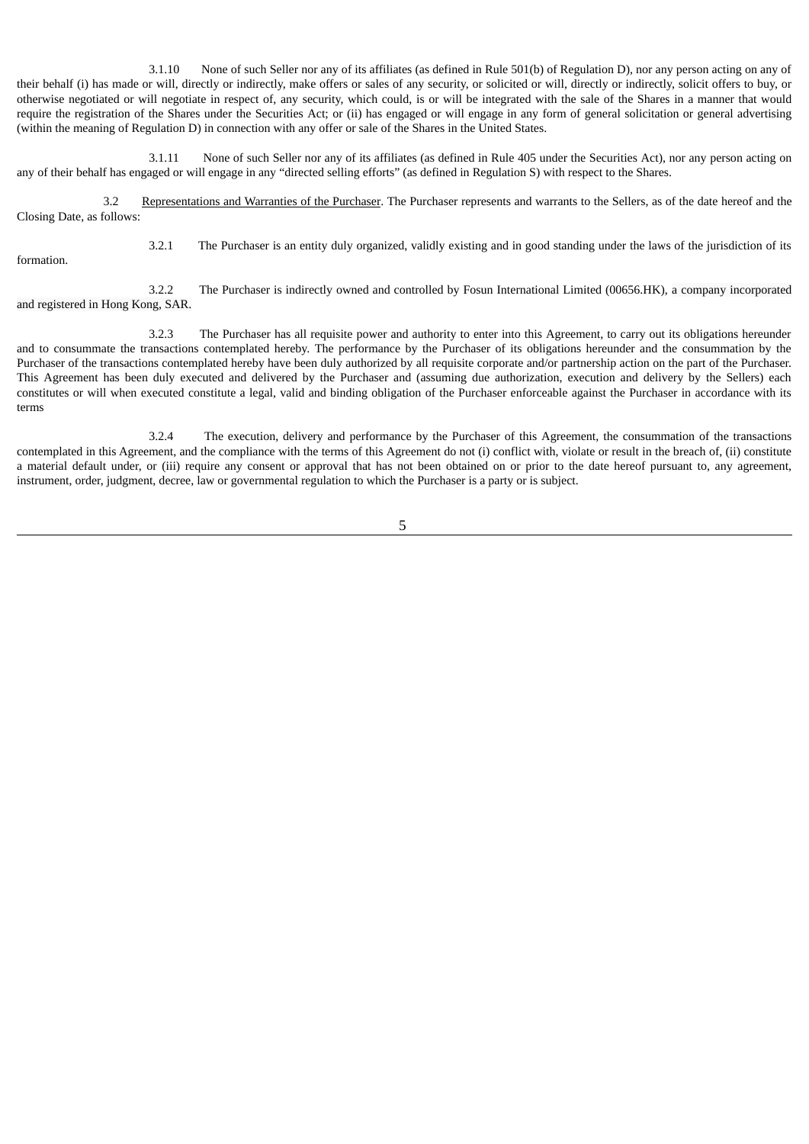3.1.10 None of such Seller nor any of its affiliates (as defined in Rule 501(b) of Regulation D), nor any person acting on any of their behalf (i) has made or will, directly or indirectly, make offers or sales of any security, or solicited or will, directly or indirectly, solicit offers to buy, or otherwise negotiated or will negotiate in respect of, any security, which could, is or will be integrated with the sale of the Shares in a manner that would require the registration of the Shares under the Securities Act; or (ii) has engaged or will engage in any form of general solicitation or general advertising (within the meaning of Regulation D) in connection with any offer or sale of the Shares in the United States.

3.1.11 None of such Seller nor any of its affiliates (as defined in Rule 405 under the Securities Act), nor any person acting on any of their behalf has engaged or will engage in any "directed selling efforts" (as defined in Regulation S) with respect to the Shares.

3.2 Representations and Warranties of the Purchaser. The Purchaser represents and warrants to the Sellers, as of the date hereof and the Closing Date, as follows:

formation.

3.2.1 The Purchaser is an entity duly organized, validly existing and in good standing under the laws of the jurisdiction of its

3.2.2 The Purchaser is indirectly owned and controlled by Fosun International Limited (00656.HK), a company incorporated and registered in Hong Kong, SAR.

3.2.3 The Purchaser has all requisite power and authority to enter into this Agreement, to carry out its obligations hereunder and to consummate the transactions contemplated hereby. The performance by the Purchaser of its obligations hereunder and the consummation by the Purchaser of the transactions contemplated hereby have been duly authorized by all requisite corporate and/or partnership action on the part of the Purchaser. This Agreement has been duly executed and delivered by the Purchaser and (assuming due authorization, execution and delivery by the Sellers) each constitutes or will when executed constitute a legal, valid and binding obligation of the Purchaser enforceable against the Purchaser in accordance with its terms

3.2.4 The execution, delivery and performance by the Purchaser of this Agreement, the consummation of the transactions contemplated in this Agreement, and the compliance with the terms of this Agreement do not (i) conflict with, violate or result in the breach of, (ii) constitute a material default under, or (iii) require any consent or approval that has not been obtained on or prior to the date hereof pursuant to, any agreement, instrument, order, judgment, decree, law or governmental regulation to which the Purchaser is a party or is subject.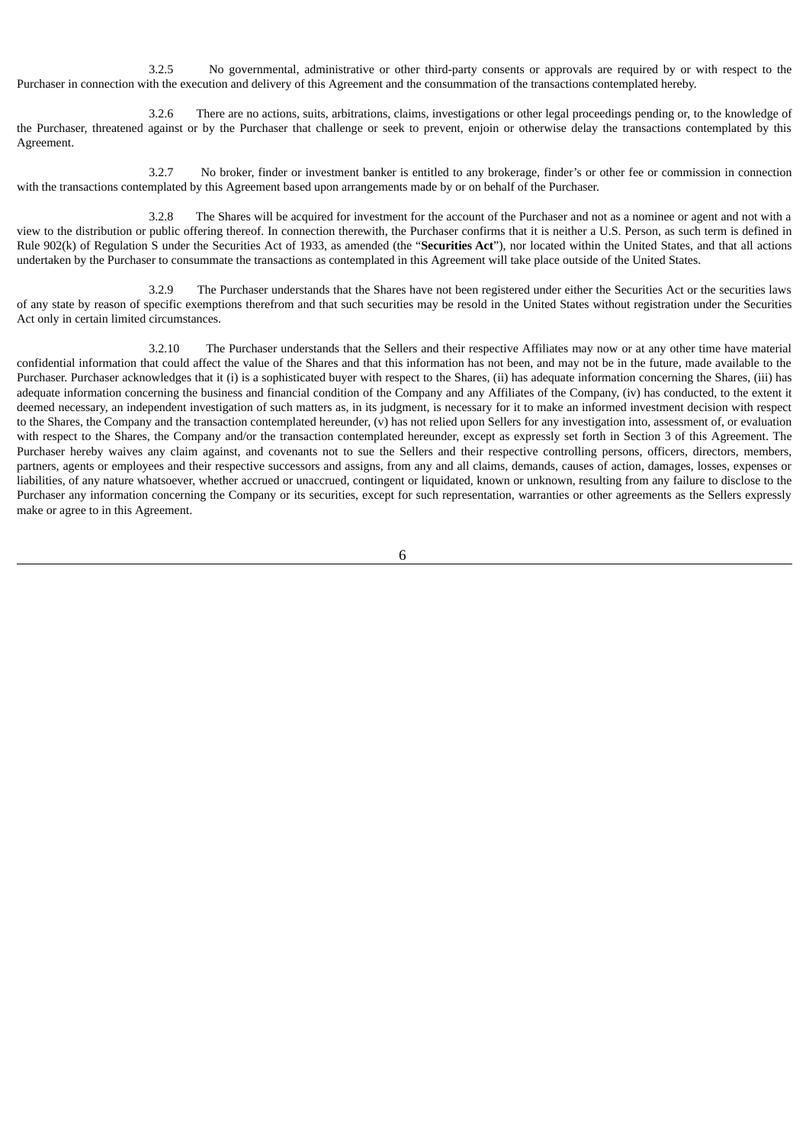3.2.5 No governmental, administrative or other third-party consents or approvals are required by or with respect to the Purchaser in connection with the execution and delivery of this Agreement and the consummation of the transactions contemplated hereby.

3.2.6 There are no actions, suits, arbitrations, claims, investigations or other legal proceedings pending or, to the knowledge of the Purchaser, threatened against or by the Purchaser that challenge or seek to prevent, enjoin or otherwise delay the transactions contemplated by this Agreement.

3.2.7 No broker, finder or investment banker is entitled to any brokerage, finder's or other fee or commission in connection with the transactions contemplated by this Agreement based upon arrangements made by or on behalf of the Purchaser.

3.2.8 The Shares will be acquired for investment for the account of the Purchaser and not as a nominee or agent and not with a view to the distribution or public offering thereof. In connection therewith, the Purchaser confirms that it is neither a U.S. Person, as such term is defined in Rule 902(k) of Regulation S under the Securities Act of 1933, as amended (the "**Securities Act**"), nor located within the United States, and that all actions undertaken by the Purchaser to consummate the transactions as contemplated in this Agreement will take place outside of the United States.

3.2.9 The Purchaser understands that the Shares have not been registered under either the Securities Act or the securities laws of any state by reason of specific exemptions therefrom and that such securities may be resold in the United States without registration under the Securities Act only in certain limited circumstances.

3.2.10 The Purchaser understands that the Sellers and their respective Affiliates may now or at any other time have material confidential information that could affect the value of the Shares and that this information has not been, and may not be in the future, made available to the Purchaser. Purchaser acknowledges that it (i) is a sophisticated buyer with respect to the Shares, (ii) has adequate information concerning the Shares, (iii) has adequate information concerning the business and financial condition of the Company and any Affiliates of the Company, (iv) has conducted, to the extent it deemed necessary, an independent investigation of such matters as, in its judgment, is necessary for it to make an informed investment decision with respect to the Shares, the Company and the transaction contemplated hereunder, (v) has not relied upon Sellers for any investigation into, assessment of, or evaluation with respect to the Shares, the Company and/or the transaction contemplated hereunder, except as expressly set forth in Section 3 of this Agreement. The Purchaser hereby waives any claim against, and covenants not to sue the Sellers and their respective controlling persons, officers, directors, members, partners, agents or employees and their respective successors and assigns, from any and all claims, demands, causes of action, damages, losses, expenses or liabilities, of any nature whatsoever, whether accrued or unaccrued, contingent or liquidated, known or unknown, resulting from any failure to disclose to the Purchaser any information concerning the Company or its securities, except for such representation, warranties or other agreements as the Sellers expressly make or agree to in this Agreement.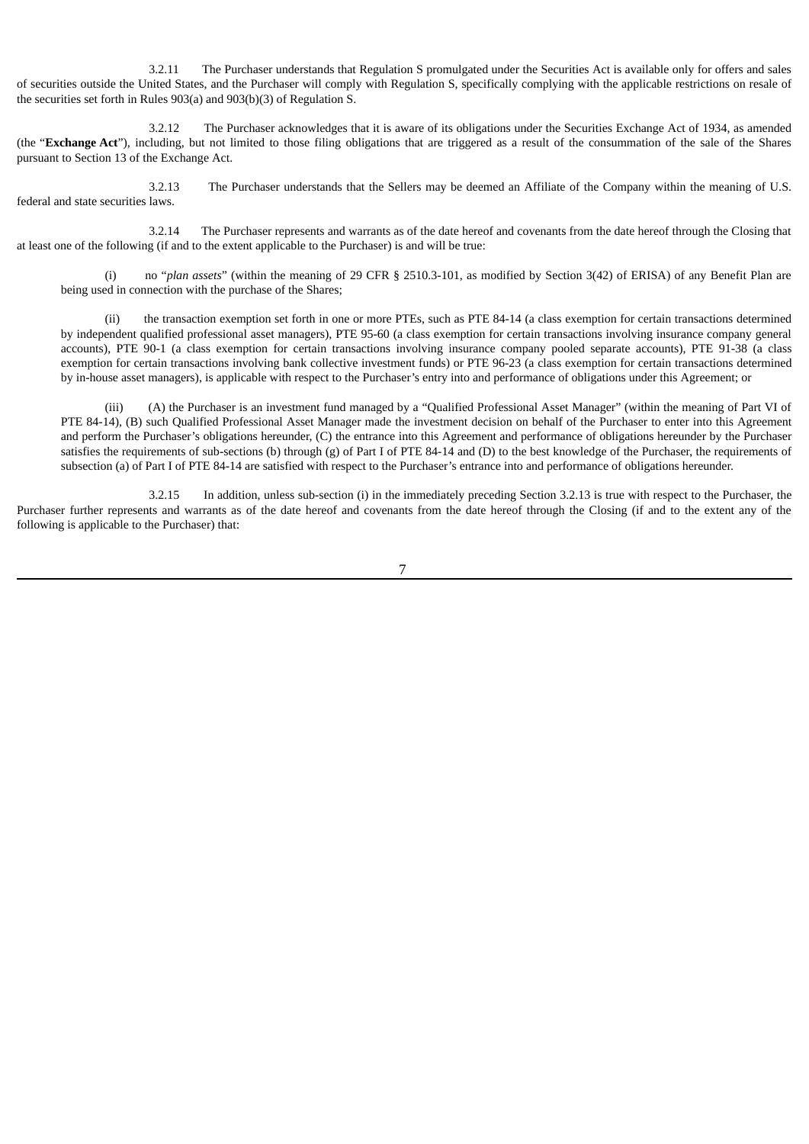3.2.11 The Purchaser understands that Regulation S promulgated under the Securities Act is available only for offers and sales of securities outside the United States, and the Purchaser will comply with Regulation S, specifically complying with the applicable restrictions on resale of the securities set forth in Rules 903(a) and 903(b)(3) of Regulation S.

3.2.12 The Purchaser acknowledges that it is aware of its obligations under the Securities Exchange Act of 1934, as amended (the "**Exchange Act**"), including, but not limited to those filing obligations that are triggered as a result of the consummation of the sale of the Shares pursuant to Section 13 of the Exchange Act.

3.2.13 The Purchaser understands that the Sellers may be deemed an Affiliate of the Company within the meaning of U.S. federal and state securities laws.

3.2.14 The Purchaser represents and warrants as of the date hereof and covenants from the date hereof through the Closing that at least one of the following (if and to the extent applicable to the Purchaser) is and will be true:

(i) no "*plan assets*" (within the meaning of 29 CFR § 2510.3-101, as modified by Section 3(42) of ERISA) of any Benefit Plan are being used in connection with the purchase of the Shares;

(ii) the transaction exemption set forth in one or more PTEs, such as PTE 84-14 (a class exemption for certain transactions determined by independent qualified professional asset managers), PTE 95-60 (a class exemption for certain transactions involving insurance company general accounts), PTE 90-1 (a class exemption for certain transactions involving insurance company pooled separate accounts), PTE 91-38 (a class exemption for certain transactions involving bank collective investment funds) or PTE 96-23 (a class exemption for certain transactions determined by in-house asset managers), is applicable with respect to the Purchaser's entry into and performance of obligations under this Agreement; or

(iii) (A) the Purchaser is an investment fund managed by a "Qualified Professional Asset Manager" (within the meaning of Part VI of PTE 84-14), (B) such Qualified Professional Asset Manager made the investment decision on behalf of the Purchaser to enter into this Agreement and perform the Purchaser's obligations hereunder, (C) the entrance into this Agreement and performance of obligations hereunder by the Purchaser satisfies the requirements of sub-sections (b) through (g) of Part I of PTE 84-14 and (D) to the best knowledge of the Purchaser, the requirements of subsection (a) of Part I of PTE 84-14 are satisfied with respect to the Purchaser's entrance into and performance of obligations hereunder.

3.2.15 In addition, unless sub-section (i) in the immediately preceding Section 3.2.13 is true with respect to the Purchaser, the Purchaser further represents and warrants as of the date hereof and covenants from the date hereof through the Closing (if and to the extent any of the following is applicable to the Purchaser) that: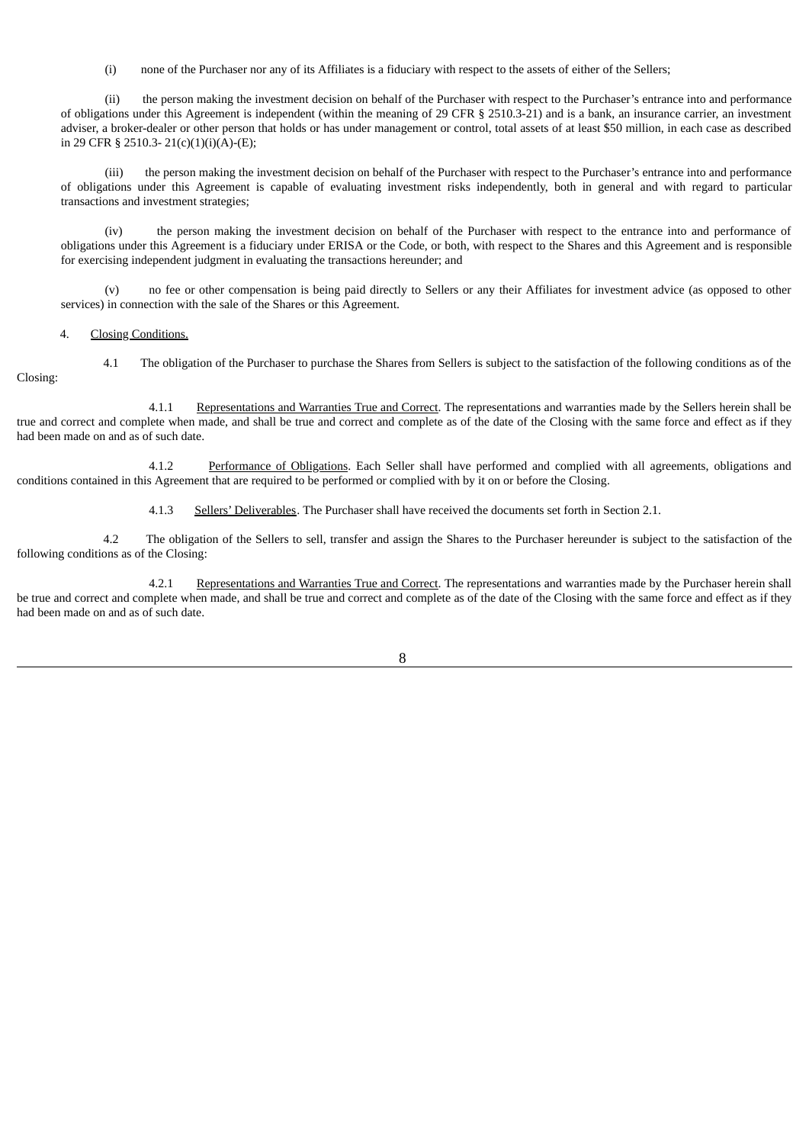(i) none of the Purchaser nor any of its Affiliates is a fiduciary with respect to the assets of either of the Sellers;

(ii) the person making the investment decision on behalf of the Purchaser with respect to the Purchaser's entrance into and performance of obligations under this Agreement is independent (within the meaning of 29 CFR § 2510.3-21) and is a bank, an insurance carrier, an investment adviser, a broker-dealer or other person that holds or has under management or control, total assets of at least \$50 million, in each case as described in 29 CFR § 2510.3- 21(c)(1)(i)(A)-(E);

(iii) the person making the investment decision on behalf of the Purchaser with respect to the Purchaser's entrance into and performance of obligations under this Agreement is capable of evaluating investment risks independently, both in general and with regard to particular transactions and investment strategies;

(iv) the person making the investment decision on behalf of the Purchaser with respect to the entrance into and performance of obligations under this Agreement is a fiduciary under ERISA or the Code, or both, with respect to the Shares and this Agreement and is responsible for exercising independent judgment in evaluating the transactions hereunder; and

(v) no fee or other compensation is being paid directly to Sellers or any their Affiliates for investment advice (as opposed to other services) in connection with the sale of the Shares or this Agreement.

## 4. Closing Conditions.

4.1 The obligation of the Purchaser to purchase the Shares from Sellers is subject to the satisfaction of the following conditions as of the Closing:

4.1.1 Representations and Warranties True and Correct. The representations and warranties made by the Sellers herein shall be true and correct and complete when made, and shall be true and correct and complete as of the date of the Closing with the same force and effect as if they had been made on and as of such date.

4.1.2 Performance of Obligations. Each Seller shall have performed and complied with all agreements, obligations and conditions contained in this Agreement that are required to be performed or complied with by it on or before the Closing.

4.1.3 Sellers' Deliverables. The Purchaser shall have received the documents set forth in Section 2.1.

4.2 The obligation of the Sellers to sell, transfer and assign the Shares to the Purchaser hereunder is subject to the satisfaction of the following conditions as of the Closing:

4.2.1 Representations and Warranties True and Correct. The representations and warranties made by the Purchaser herein shall be true and correct and complete when made, and shall be true and correct and complete as of the date of the Closing with the same force and effect as if they had been made on and as of such date.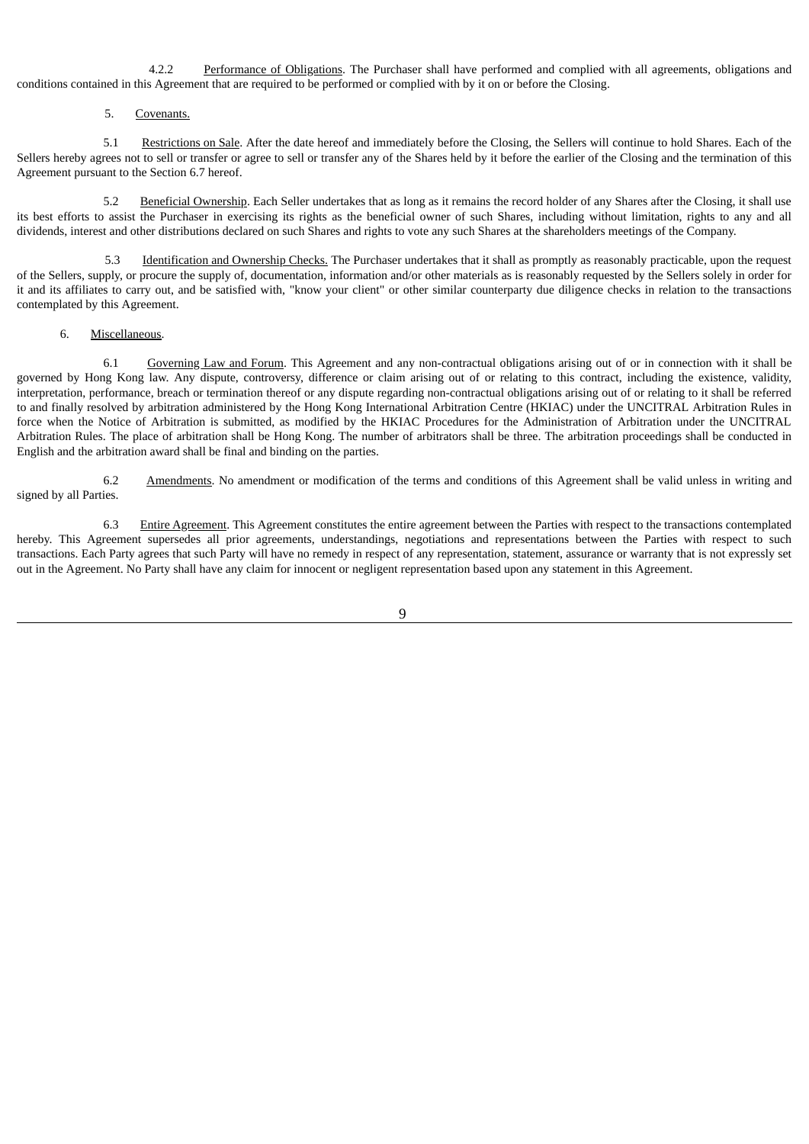4.2.2 Performance of Obligations. The Purchaser shall have performed and complied with all agreements, obligations and conditions contained in this Agreement that are required to be performed or complied with by it on or before the Closing.

#### 5. Covenants.

5.1 Restrictions on Sale. After the date hereof and immediately before the Closing, the Sellers will continue to hold Shares. Each of the Sellers hereby agrees not to sell or transfer or agree to sell or transfer any of the Shares held by it before the earlier of the Closing and the termination of this Agreement pursuant to the Section 6.7 hereof.

5.2 Beneficial Ownership. Each Seller undertakes that as long as it remains the record holder of any Shares after the Closing, it shall use its best efforts to assist the Purchaser in exercising its rights as the beneficial owner of such Shares, including without limitation, rights to any and all dividends, interest and other distributions declared on such Shares and rights to vote any such Shares at the shareholders meetings of the Company.

5.3 Identification and Ownership Checks. The Purchaser undertakes that it shall as promptly as reasonably practicable, upon the request of the Sellers, supply, or procure the supply of, documentation, information and/or other materials as is reasonably requested by the Sellers solely in order for it and its affiliates to carry out, and be satisfied with, "know your client" or other similar counterparty due diligence checks in relation to the transactions contemplated by this Agreement.

### 6. Miscellaneous.

6.1 Governing Law and Forum. This Agreement and any non-contractual obligations arising out of or in connection with it shall be governed by Hong Kong law. Any dispute, controversy, difference or claim arising out of or relating to this contract, including the existence, validity, interpretation, performance, breach or termination thereof or any dispute regarding non-contractual obligations arising out of or relating to it shall be referred to and finally resolved by arbitration administered by the Hong Kong International Arbitration Centre (HKIAC) under the UNCITRAL Arbitration Rules in force when the Notice of Arbitration is submitted, as modified by the HKIAC Procedures for the Administration of Arbitration under the UNCITRAL Arbitration Rules. The place of arbitration shall be Hong Kong. The number of arbitrators shall be three. The arbitration proceedings shall be conducted in English and the arbitration award shall be final and binding on the parties.

6.2 Amendments. No amendment or modification of the terms and conditions of this Agreement shall be valid unless in writing and signed by all Parties.

6.3 Entire Agreement. This Agreement constitutes the entire agreement between the Parties with respect to the transactions contemplated hereby. This Agreement supersedes all prior agreements, understandings, negotiations and representations between the Parties with respect to such transactions. Each Party agrees that such Party will have no remedy in respect of any representation, statement, assurance or warranty that is not expressly set out in the Agreement. No Party shall have any claim for innocent or negligent representation based upon any statement in this Agreement.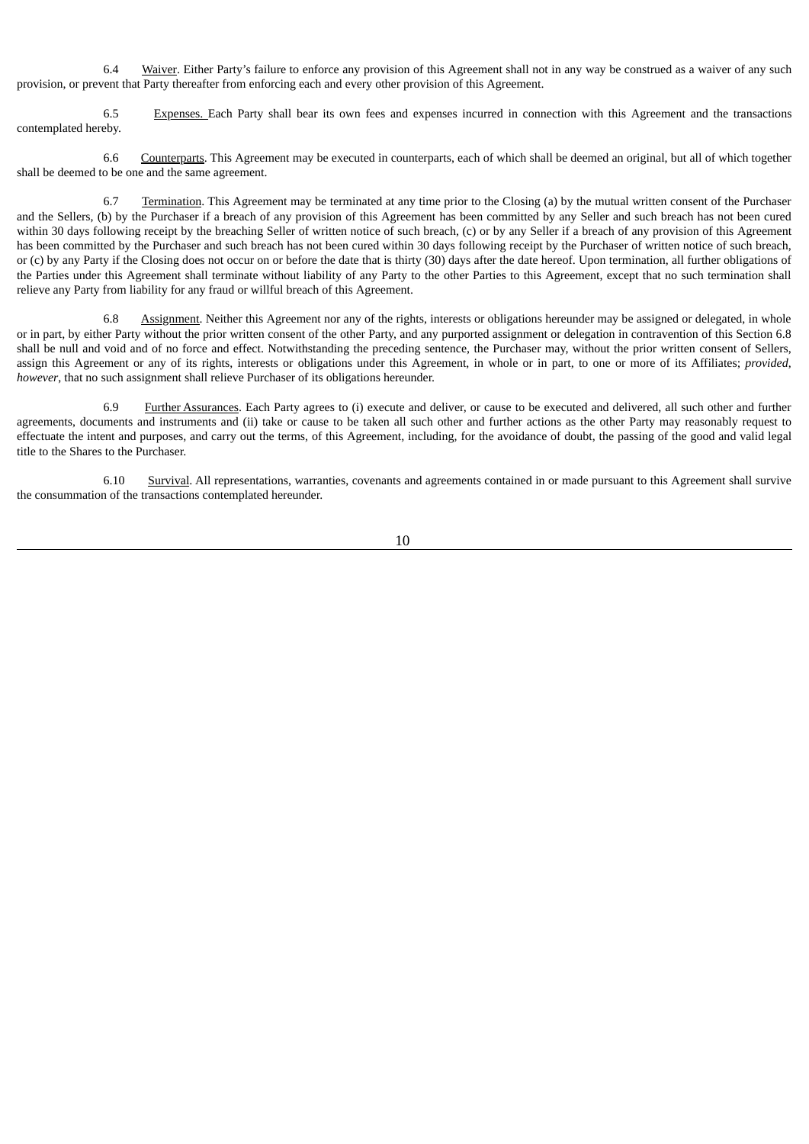6.4 Waiver. Either Party's failure to enforce any provision of this Agreement shall not in any way be construed as a waiver of any such provision, or prevent that Party thereafter from enforcing each and every other provision of this Agreement.

6.5 Expenses. Each Party shall bear its own fees and expenses incurred in connection with this Agreement and the transactions contemplated hereby.

6.6 Counterparts. This Agreement may be executed in counterparts, each of which shall be deemed an original, but all of which together shall be deemed to be one and the same agreement.

6.7 Termination. This Agreement may be terminated at any time prior to the Closing (a) by the mutual written consent of the Purchaser and the Sellers, (b) by the Purchaser if a breach of any provision of this Agreement has been committed by any Seller and such breach has not been cured within 30 days following receipt by the breaching Seller of written notice of such breach, (c) or by any Seller if a breach of any provision of this Agreement has been committed by the Purchaser and such breach has not been cured within 30 days following receipt by the Purchaser of written notice of such breach, or (c) by any Party if the Closing does not occur on or before the date that is thirty (30) days after the date hereof. Upon termination, all further obligations of the Parties under this Agreement shall terminate without liability of any Party to the other Parties to this Agreement, except that no such termination shall relieve any Party from liability for any fraud or willful breach of this Agreement.

6.8 Assignment. Neither this Agreement nor any of the rights, interests or obligations hereunder may be assigned or delegated, in whole or in part, by either Party without the prior written consent of the other Party, and any purported assignment or delegation in contravention of this Section 6.8 shall be null and void and of no force and effect. Notwithstanding the preceding sentence, the Purchaser may, without the prior written consent of Sellers, assign this Agreement or any of its rights, interests or obligations under this Agreement, in whole or in part, to one or more of its Affiliates; *provided*, *however*, that no such assignment shall relieve Purchaser of its obligations hereunder.

6.9 Further Assurances. Each Party agrees to (i) execute and deliver, or cause to be executed and delivered, all such other and further agreements, documents and instruments and (ii) take or cause to be taken all such other and further actions as the other Party may reasonably request to effectuate the intent and purposes, and carry out the terms, of this Agreement, including, for the avoidance of doubt, the passing of the good and valid legal title to the Shares to the Purchaser.

6.10 Survival. All representations, warranties, covenants and agreements contained in or made pursuant to this Agreement shall survive the consummation of the transactions contemplated hereunder.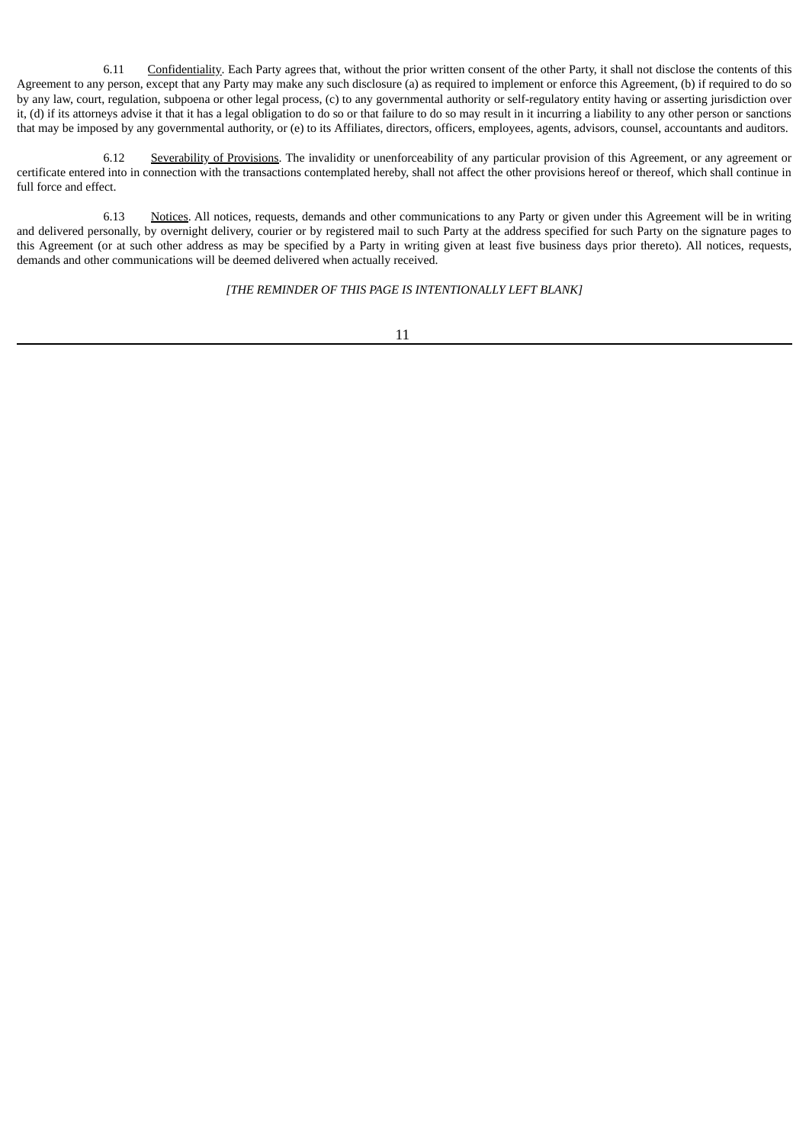6.11 Confidentiality. Each Party agrees that, without the prior written consent of the other Party, it shall not disclose the contents of this Agreement to any person, except that any Party may make any such disclosure (a) as required to implement or enforce this Agreement, (b) if required to do so by any law, court, regulation, subpoena or other legal process, (c) to any governmental authority or self-regulatory entity having or asserting jurisdiction over it, (d) if its attorneys advise it that it has a legal obligation to do so or that failure to do so may result in it incurring a liability to any other person or sanctions that may be imposed by any governmental authority, or (e) to its Affiliates, directors, officers, employees, agents, advisors, counsel, accountants and auditors.

6.12 Severability of Provisions. The invalidity or unenforceability of any particular provision of this Agreement, or any agreement or certificate entered into in connection with the transactions contemplated hereby, shall not affect the other provisions hereof or thereof, which shall continue in full force and effect.

6.13 Notices. All notices, requests, demands and other communications to any Party or given under this Agreement will be in writing and delivered personally, by overnight delivery, courier or by registered mail to such Party at the address specified for such Party on the signature pages to this Agreement (or at such other address as may be specified by a Party in writing given at least five business days prior thereto). All notices, requests, demands and other communications will be deemed delivered when actually received.

*[THE REMINDER OF THIS PAGE IS INTENTIONALLY LEFT BLANK]*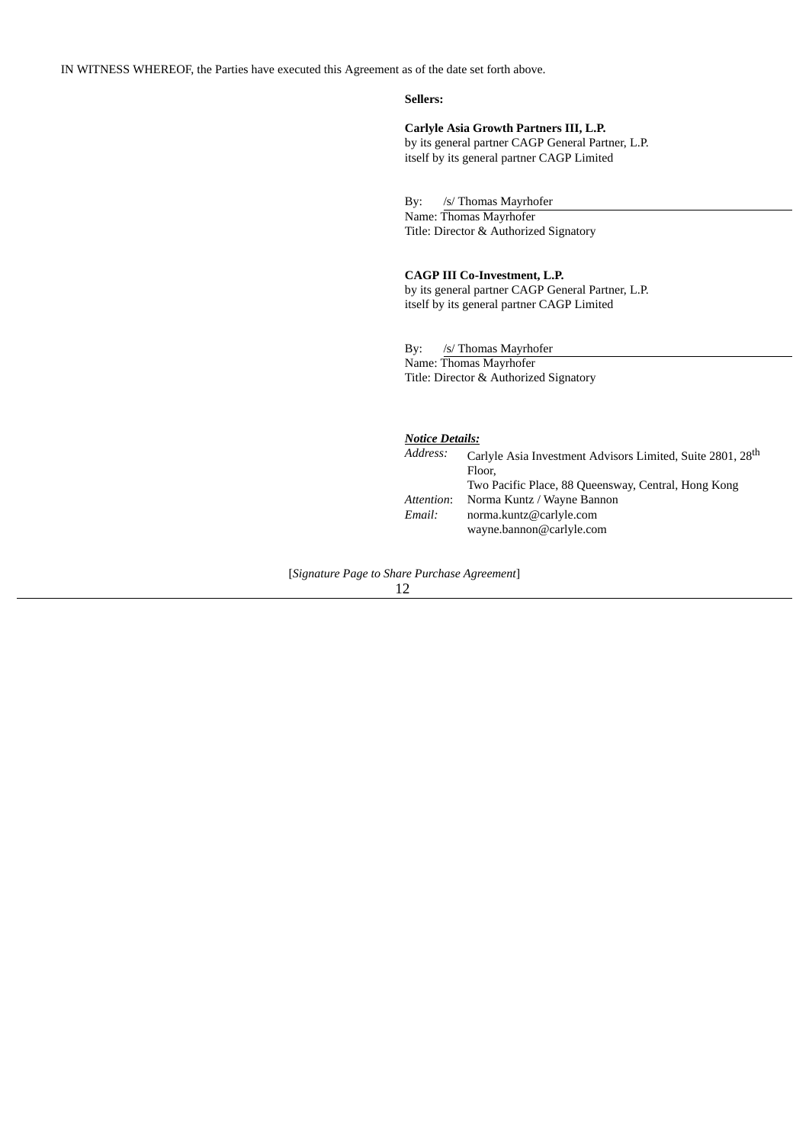IN WITNESS WHEREOF, the Parties have executed this Agreement as of the date set forth above.

# **Sellers:**

**Carlyle Asia Growth Partners III, L.P.**

by its general partner CAGP General Partner, L.P. itself by its general partner CAGP Limited

By: /s/ Thomas Mayrhofer

Name: Thomas Mayrhofer Title: Director & Authorized Signatory

# **CAGP III Co-Investment, L.P.**

by its general partner CAGP General Partner, L.P. itself by its general partner CAGP Limited

By: /s/ Thomas Mayrhofer Name: Thomas Mayrhofer Title: Director & Authorized Signatory

| <b>Notice Details:</b> |                                                                                  |
|------------------------|----------------------------------------------------------------------------------|
| Address:               | Carlyle Asia Investment Advisors Limited, Suite 2801, 28 <sup>th</sup><br>Floor, |
|                        | Two Pacific Place, 88 Queensway, Central, Hong Kong                              |
| Attention:             | Norma Kuntz / Wayne Bannon                                                       |
| Email:                 | norma.kuntz@carlyle.com                                                          |
|                        | wayne.bannon@carlyle.com                                                         |
|                        |                                                                                  |

[*Signature Page to Share Purchase Agreement*]

12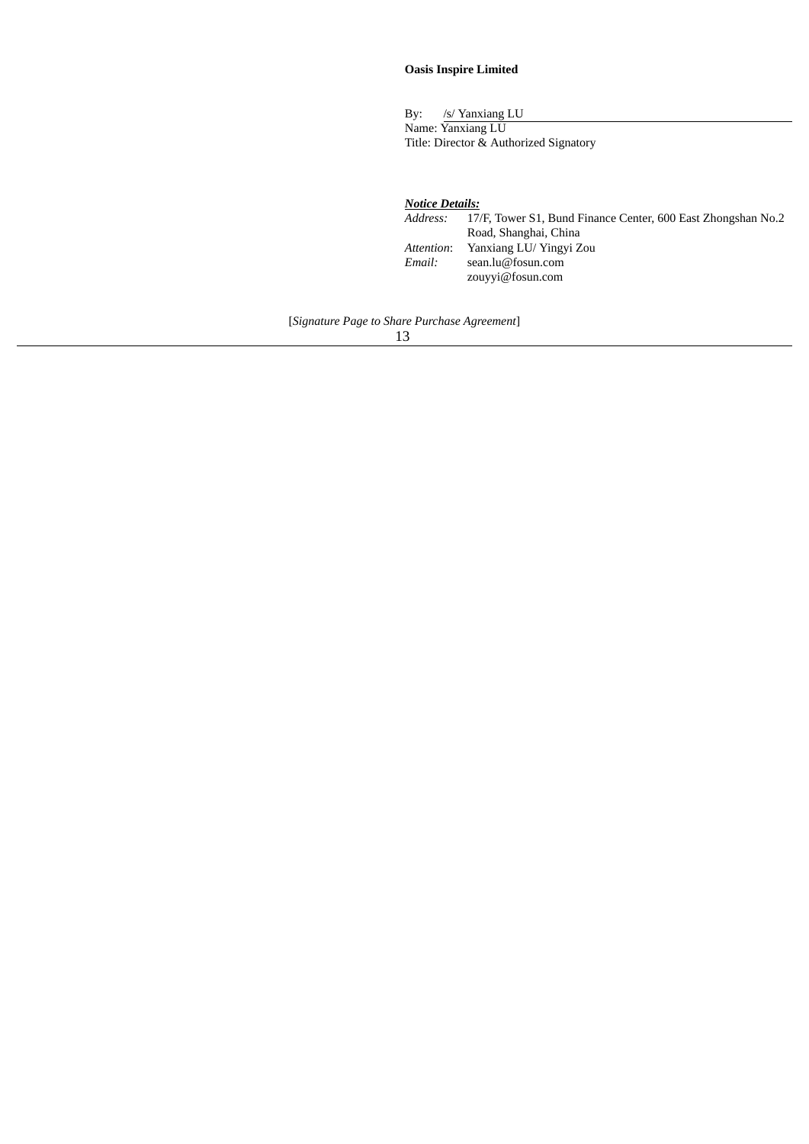# **Oasis Inspire Limited**

By: /s/ Yanxiang LU Name: Yanxiang LU Title: Director & Authorized Signatory

*Notice Details: Address:* 17/F, Tower S1, Bund Finance Center, 600 East Zhongshan No.2 Road, Shanghai, China *Attention*: Yanxiang LU/ Yingyi Zou *Email:* sean.lu@fosun.com zouyyi@fosun.com

[*Signature Page to Share Purchase Agreement*]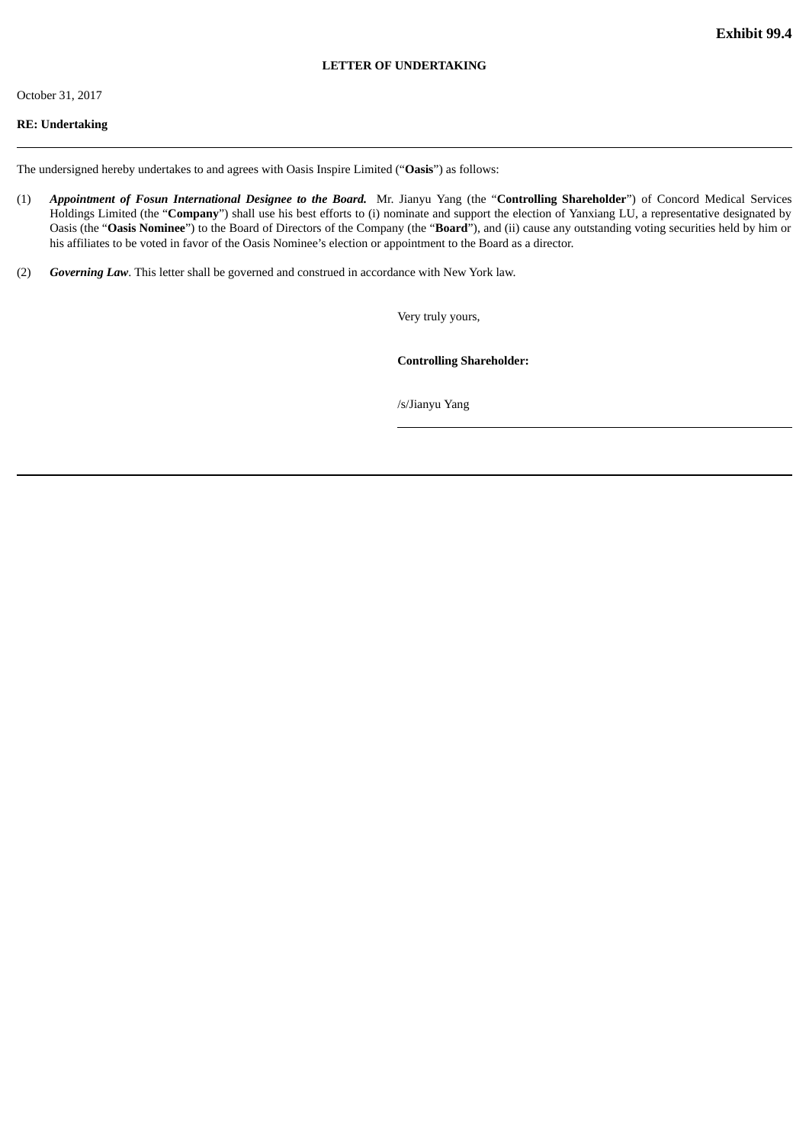# October 31, 2017

# **RE: Undertaking**

The undersigned hereby undertakes to and agrees with Oasis Inspire Limited ("**Oasis**") as follows:

- (1) *Appointment of Fosun International Designee to the Board.* Mr. Jianyu Yang (the "**Controlling Shareholder**") of Concord Medical Services Holdings Limited (the "**Company**") shall use his best efforts to (i) nominate and support the election of Yanxiang LU, a representative designated by Oasis (the "**Oasis Nominee**") to the Board of Directors of the Company (the "**Board**"), and (ii) cause any outstanding voting securities held by him or his affiliates to be voted in favor of the Oasis Nominee's election or appointment to the Board as a director.
- (2) *Governing Law*. This letter shall be governed and construed in accordance with New York law.

Very truly yours,

**Controlling Shareholder:**

/s/Jianyu Yang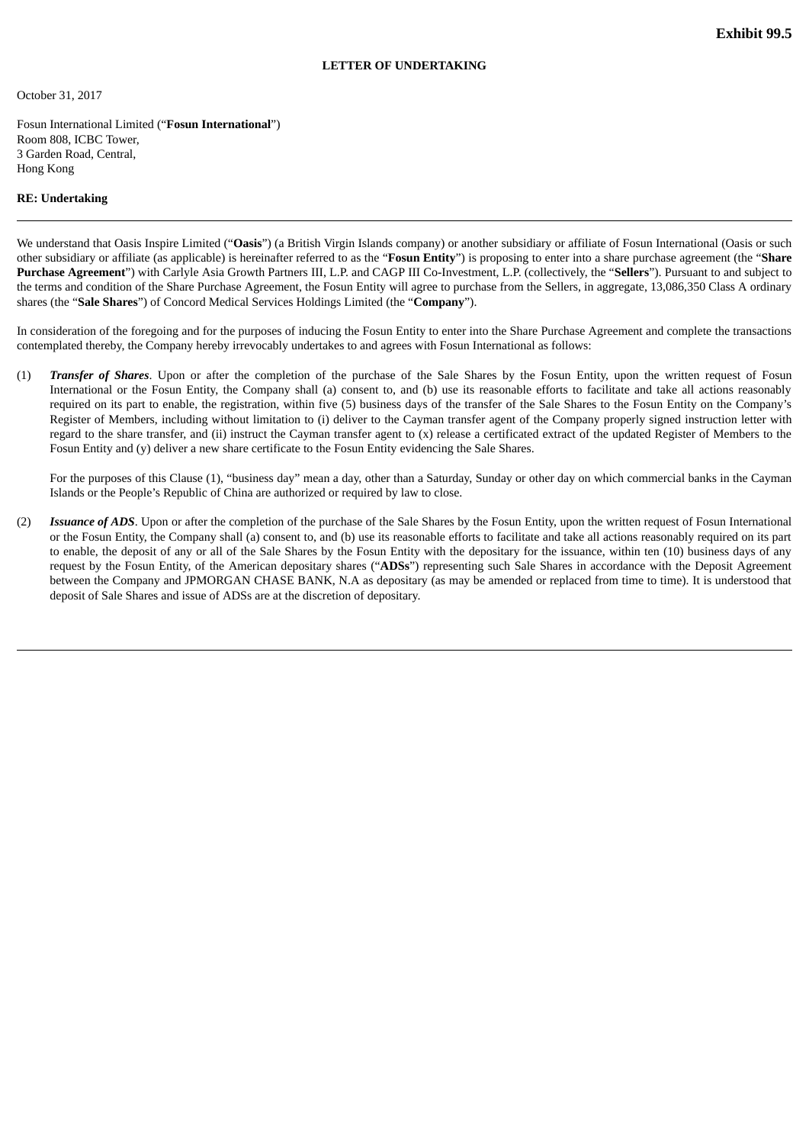October 31, 2017

Fosun International Limited ("**Fosun International**") Room 808, ICBC Tower, 3 Garden Road, Central, Hong Kong

#### **RE: Undertaking**

We understand that Oasis Inspire Limited ("Oasis") (a British Virgin Islands company) or another subsidiary or affiliate of Fosun International (Oasis or such other subsidiary or affiliate (as applicable) is hereinafter referred to as the "**Fosun Entity**") is proposing to enter into a share purchase agreement (the "**Share Purchase Agreement**") with Carlyle Asia Growth Partners III, L.P. and CAGP III Co-Investment, L.P. (collectively, the "**Sellers**"). Pursuant to and subject to the terms and condition of the Share Purchase Agreement, the Fosun Entity will agree to purchase from the Sellers, in aggregate, 13,086,350 Class A ordinary shares (the "**Sale Shares**") of Concord Medical Services Holdings Limited (the "**Company**").

In consideration of the foregoing and for the purposes of inducing the Fosun Entity to enter into the Share Purchase Agreement and complete the transactions contemplated thereby, the Company hereby irrevocably undertakes to and agrees with Fosun International as follows:

(1) *Transfer of Shares*. Upon or after the completion of the purchase of the Sale Shares by the Fosun Entity, upon the written request of Fosun International or the Fosun Entity, the Company shall (a) consent to, and (b) use its reasonable efforts to facilitate and take all actions reasonably required on its part to enable, the registration, within five (5) business days of the transfer of the Sale Shares to the Fosun Entity on the Company's Register of Members, including without limitation to (i) deliver to the Cayman transfer agent of the Company properly signed instruction letter with regard to the share transfer, and (ii) instruct the Cayman transfer agent to (x) release a certificated extract of the updated Register of Members to the Fosun Entity and (y) deliver a new share certificate to the Fosun Entity evidencing the Sale Shares.

For the purposes of this Clause (1), "business day" mean a day, other than a Saturday, Sunday or other day on which commercial banks in the Cayman Islands or the People's Republic of China are authorized or required by law to close.

(2) *Issuance of ADS*. Upon or after the completion of the purchase of the Sale Shares by the Fosun Entity, upon the written request of Fosun International or the Fosun Entity, the Company shall (a) consent to, and (b) use its reasonable efforts to facilitate and take all actions reasonably required on its part to enable, the deposit of any or all of the Sale Shares by the Fosun Entity with the depositary for the issuance, within ten (10) business days of any request by the Fosun Entity, of the American depositary shares ("**ADSs**") representing such Sale Shares in accordance with the Deposit Agreement between the Company and JPMORGAN CHASE BANK, N.A as depositary (as may be amended or replaced from time to time). It is understood that deposit of Sale Shares and issue of ADSs are at the discretion of depositary.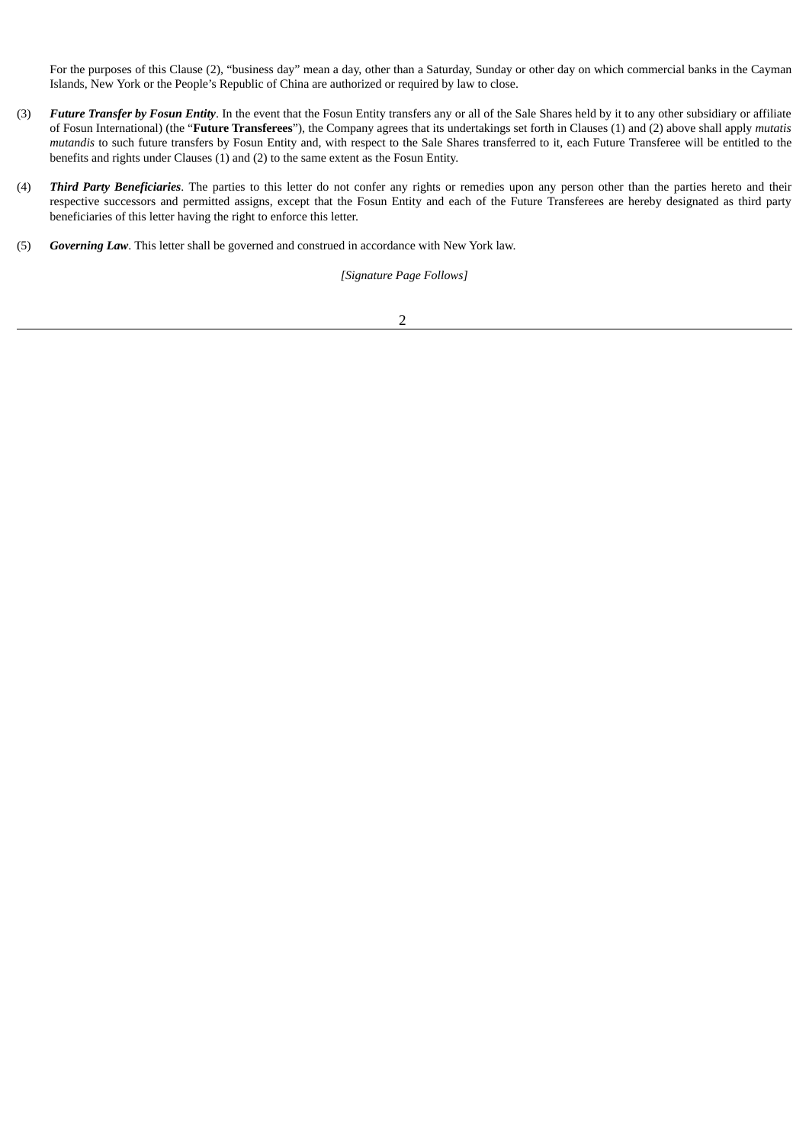For the purposes of this Clause (2), "business day" mean a day, other than a Saturday, Sunday or other day on which commercial banks in the Cayman Islands, New York or the People's Republic of China are authorized or required by law to close.

- (3) *Future Transfer by Fosun Entity*. In the event that the Fosun Entity transfers any or all of the Sale Shares held by it to any other subsidiary or affiliate of Fosun International) (the "**Future Transferees**"), the Company agrees that its undertakings set forth in Clauses (1) and (2) above shall apply *mutatis mutandis* to such future transfers by Fosun Entity and, with respect to the Sale Shares transferred to it, each Future Transferee will be entitled to the benefits and rights under Clauses (1) and (2) to the same extent as the Fosun Entity.
- (4) *Third Party Beneficiaries*. The parties to this letter do not confer any rights or remedies upon any person other than the parties hereto and their respective successors and permitted assigns, except that the Fosun Entity and each of the Future Transferees are hereby designated as third party beneficiaries of this letter having the right to enforce this letter.
- (5) *Governing Law*. This letter shall be governed and construed in accordance with New York law.

*[Signature Page Follows]*